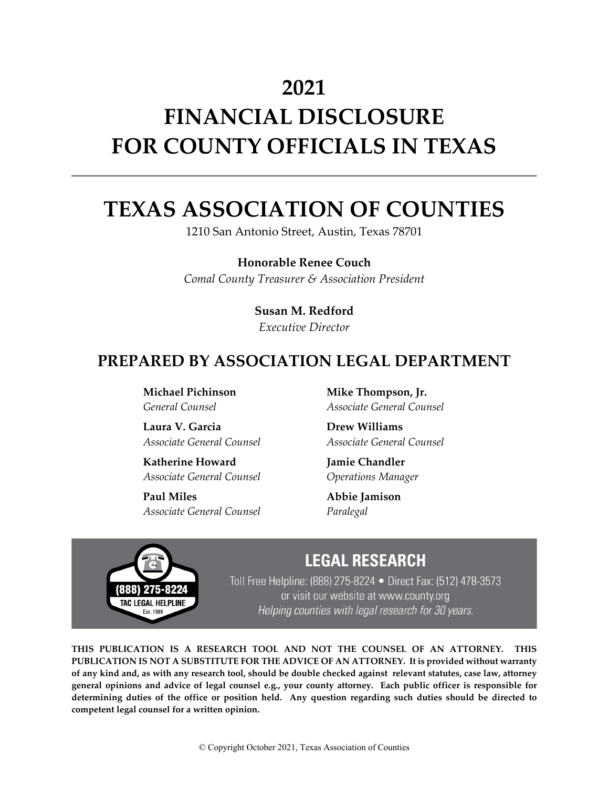## **2021**

# **FINANCIAL DISCLOSURE FOR COUNTY OFFICIALS IN TEXAS**

## **TEXAS ASSOCIATION OF COUNTIES**

1210 San Antonio Street, Austin, Texas 78701

**Honorable Renee Couch** *Comal County Treasurer & Association President*

## **Susan M. Redford**

*Executive Director*

## **PREPARED BY ASSOCIATION LEGAL DEPARTMENT**

**Michael Pichinson** *General Counsel*

**Laura V. Garcia** *Associate General Counsel*

**Katherine Howard** *Associate General Counsel*

**Paul Miles** *Associate General Counsel* **Mike Thompson, Jr.** *Associate General Counsel*

**Drew Williams** *Associate General Counsel*

**Jamie Chandler** *Operations Manager*

**Abbie Jamison** *Paralegal*



## **LEGAL RESEARCH**

Toll Free Helpline: (888) 275-8224 • Direct Fax: (512) 478-3573 or visit our website at www.county.org Helping counties with legal research for 30 years.

**THIS PUBLICATION IS A RESEARCH TOOL AND NOT THE COUNSEL OF AN ATTORNEY. THIS PUBLICATION IS NOT A SUBSTITUTE FOR THE ADVICE OF AN ATTORNEY. It is provided without warranty of any kind and, as with any research tool, should be double checked against relevant statutes, case law, attorney general opinions and advice of legal counsel e.g., your county attorney. Each public officer is responsible for determining duties of the office or position held. Any question regarding such duties should be directed to competent legal counsel for a written opinion.**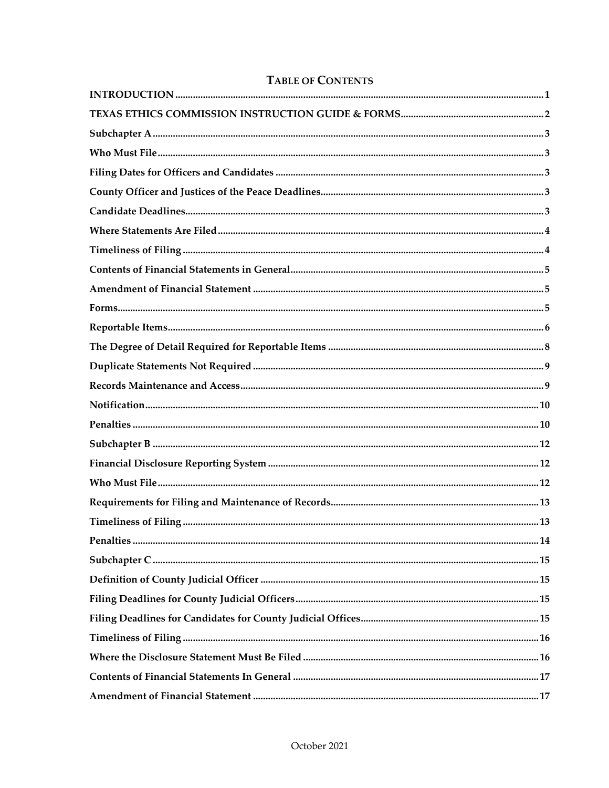#### **TABLE OF CONTENTS**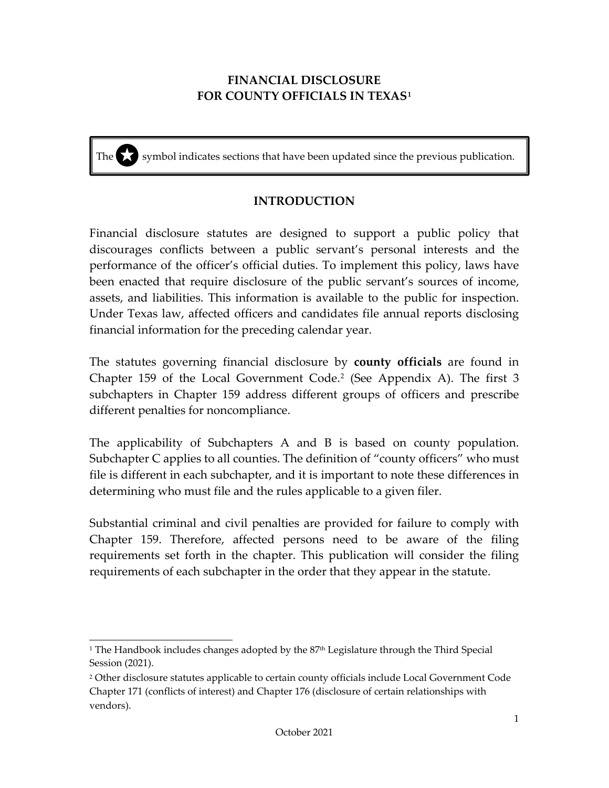## **FINANCIAL DISCLOSURE FOR COUNTY OFFICIALS IN TEXAS[1](#page-3-1)**

The symbol indicates sections that have been updated since the previous publication.

#### **INTRODUCTION**

<span id="page-3-0"></span>Financial disclosure statutes are designed to support a public policy that discourages conflicts between a public servant's personal interests and the performance of the officer's official duties. To implement this policy, laws have been enacted that require disclosure of the public servant's sources of income, assets, and liabilities. This information is available to the public for inspection. Under Texas law, affected officers and candidates file annual reports disclosing financial information for the preceding calendar year.

The statutes governing financial disclosure by **county officials** are found in Chapter 159 of the Local Government Code.<sup>[2](#page-3-2)</sup> (See Appendix A). The first 3 subchapters in Chapter 159 address different groups of officers and prescribe different penalties for noncompliance.

The applicability of Subchapters A and B is based on county population. Subchapter C applies to all counties. The definition of "county officers" who must file is different in each subchapter, and it is important to note these differences in determining who must file and the rules applicable to a given filer.

Substantial criminal and civil penalties are provided for failure to comply with Chapter 159. Therefore, affected persons need to be aware of the filing requirements set forth in the chapter. This publication will consider the filing requirements of each subchapter in the order that they appear in the statute.

<span id="page-3-1"></span><sup>&</sup>lt;sup>1</sup> The Handbook includes changes adopted by the  $87<sup>th</sup>$  Legislature through the Third Special Session (2021).

<span id="page-3-2"></span><sup>&</sup>lt;sup>2</sup> Other disclosure statutes applicable to certain county officials include Local Government Code Chapter 171 (conflicts of interest) and Chapter 176 (disclosure of certain relationships with vendors).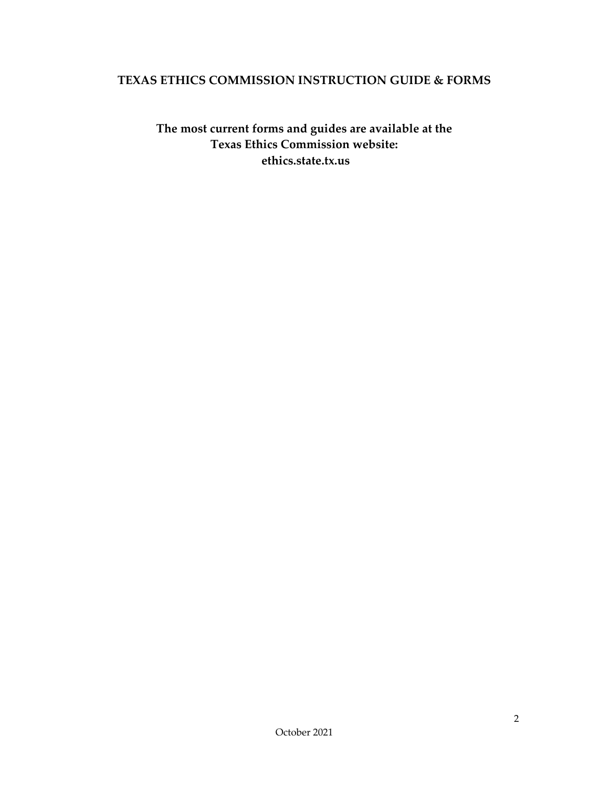#### <span id="page-4-0"></span>**TEXAS ETHICS COMMISSION INSTRUCTION GUIDE & FORMS**

**The most current forms and guides are available at the Texas Ethics Commission website: ethics.state.tx.us**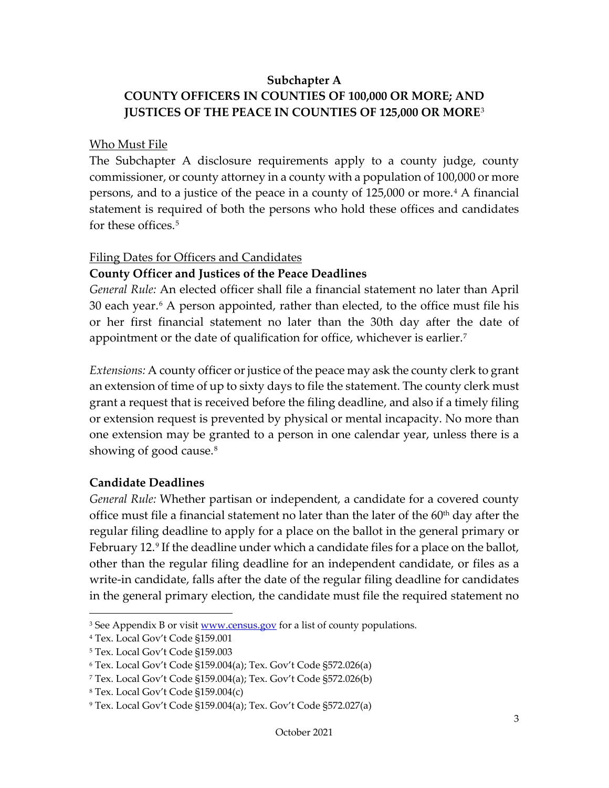#### **Subchapter A**

## <span id="page-5-0"></span>**COUNTY OFFICERS IN COUNTIES OF 100,000 OR MORE; AND JUSTICES OF THE PEACE IN COUNTIES OF 125,000 OR MORE**[3](#page-5-5)

#### <span id="page-5-1"></span>Who Must File

The Subchapter A disclosure requirements apply to a county judge, county commissioner, or county attorney in a county with a population of 100,000 or more persons, and to a justice of the peace in a county of 125,000 or more.[4](#page-5-6) A financial statement is required of both the persons who hold these offices and candidates for these offices.[5](#page-5-7)

#### <span id="page-5-2"></span>Filing Dates for Officers and Candidates

#### <span id="page-5-3"></span>**County Officer and Justices of the Peace Deadlines**

*General Rule:* An elected officer shall file a financial statement no later than April 30 each year.<sup>[6](#page-5-8)</sup> A person appointed, rather than elected, to the office must file his or her first financial statement no later than the 30th day after the date of appointment or the date of qualification for office, whichever is earlier.<sup>7</sup>

*Extensions:* A county officer or justice of the peace may ask the county clerk to grant an extension of time of up to sixty days to file the statement. The county clerk must grant a request that is received before the filing deadline, and also if a timely filing or extension request is prevented by physical or mental incapacity. No more than one extension may be granted to a person in one calendar year, unless there is a showing of good cause.<sup>8</sup>

#### <span id="page-5-4"></span>**Candidate Deadlines**

*General Rule:* Whether partisan or independent, a candidate for a covered county office must file a financial statement no later than the later of the  $60<sup>th</sup>$  day after the regular filing deadline to apply for a place on the ballot in the general primary or February 12.<sup>[9](#page-5-11)</sup> If the deadline under which a candidate files for a place on the ballot, other than the regular filing deadline for an independent candidate, or files as a write-in candidate, falls after the date of the regular filing deadline for candidates in the general primary election, the candidate must file the required statement no

<span id="page-5-5"></span><sup>&</sup>lt;sup>3</sup> See Appendix B or visit [www.census.gov](http://www.census.gov/) for a list of county populations.

<span id="page-5-6"></span><sup>4</sup> Tex. Local Gov't Code §159.001

<span id="page-5-7"></span><sup>5</sup> Tex. Local Gov't Code §159.003

<span id="page-5-8"></span><sup>6</sup> Tex. Local Gov't Code §159.004(a); Tex. Gov't Code §572.026(a)

<span id="page-5-9"></span><sup>7</sup> Tex. Local Gov't Code §159.004(a); Tex. Gov't Code §572.026(b)

<span id="page-5-10"></span><sup>8</sup> Tex. Local Gov't Code §159.004(c)

<span id="page-5-11"></span><sup>9</sup> Tex. Local Gov't Code §159.004(a); Tex. Gov't Code §572.027(a)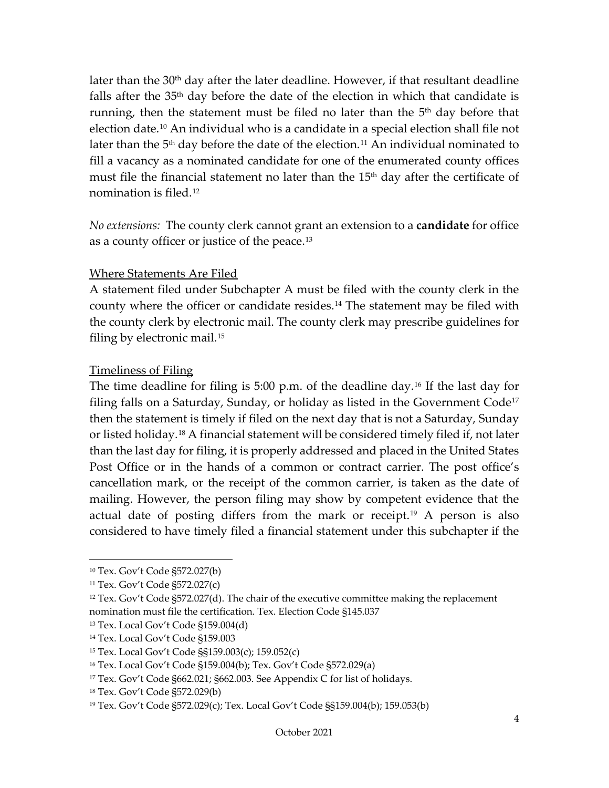later than the  $30<sup>th</sup>$  day after the later deadline. However, if that resultant deadline falls after the  $35<sup>th</sup>$  day before the date of the election in which that candidate is running, then the statement must be filed no later than the  $5<sup>th</sup>$  day before that election date.[10](#page-6-2) An individual who is a candidate in a special election shall file not later than the  $5<sup>th</sup>$  day before the date of the election.<sup>[11](#page-6-3)</sup> An individual nominated to fill a vacancy as a nominated candidate for one of the enumerated county offices must file the financial statement no later than the  $15<sup>th</sup>$  day after the certificate of nomination is filed.[12](#page-6-4)

*No extensions:* The county clerk cannot grant an extension to a **candidate** for office as a county officer or justice of the peace.[13](#page-6-5)

#### <span id="page-6-0"></span>Where Statements Are Filed

A statement filed under Subchapter A must be filed with the county clerk in the county where the officer or candidate resides.<sup>[14](#page-6-6)</sup> The statement may be filed with the county clerk by electronic mail. The county clerk may prescribe guidelines for filing by electronic mail.[15](#page-6-7)

#### <span id="page-6-1"></span>Timeliness of Filing

The time deadline for filing is 5:00 p.m. of the deadline day. [16](#page-6-8) If the last day for filing falls on a Saturday, Sunday, or holiday as listed in the Government Code<sup>[17](#page-6-9)</sup> then the statement is timely if filed on the next day that is not a Saturday, Sunday or listed holiday.[18](#page-6-10) A financial statement will be considered timely filed if, not later than the last day for filing, it is properly addressed and placed in the United States Post Office or in the hands of a common or contract carrier. The post office's cancellation mark, or the receipt of the common carrier, is taken as the date of mailing. However, the person filing may show by competent evidence that the actual date of posting differs from the mark or receipt.<sup>[19](#page-6-11)</sup> A person is also considered to have timely filed a financial statement under this subchapter if the

<span id="page-6-2"></span><sup>10</sup> Tex. Gov't Code §572.027(b)

<span id="page-6-3"></span><sup>11</sup> Tex. Gov't Code §572.027(c)

<span id="page-6-4"></span> $12$  Tex. Gov't Code §572.027(d). The chair of the executive committee making the replacement nomination must file the certification. Tex. Election Code §145.037

<span id="page-6-5"></span><sup>13</sup> Tex. Local Gov't Code §159.004(d)

<span id="page-6-6"></span><sup>14</sup> Tex. Local Gov't Code §159.003

<span id="page-6-7"></span><sup>15</sup> Tex. Local Gov't Code §§159.003(c); 159.052(c)

<span id="page-6-8"></span><sup>16</sup> Tex. Local Gov't Code §159.004(b); Tex. Gov't Code §572.029(a)

<span id="page-6-9"></span><sup>&</sup>lt;sup>17</sup> Tex. Gov't Code §662.021; §662.003. See Appendix C for list of holidays.

<span id="page-6-10"></span><sup>18</sup> Tex. Gov't Code §572.029(b)

<span id="page-6-11"></span><sup>19</sup> Tex. Gov't Code §572.029(c); Tex. Local Gov't Code §§159.004(b); 159.053(b)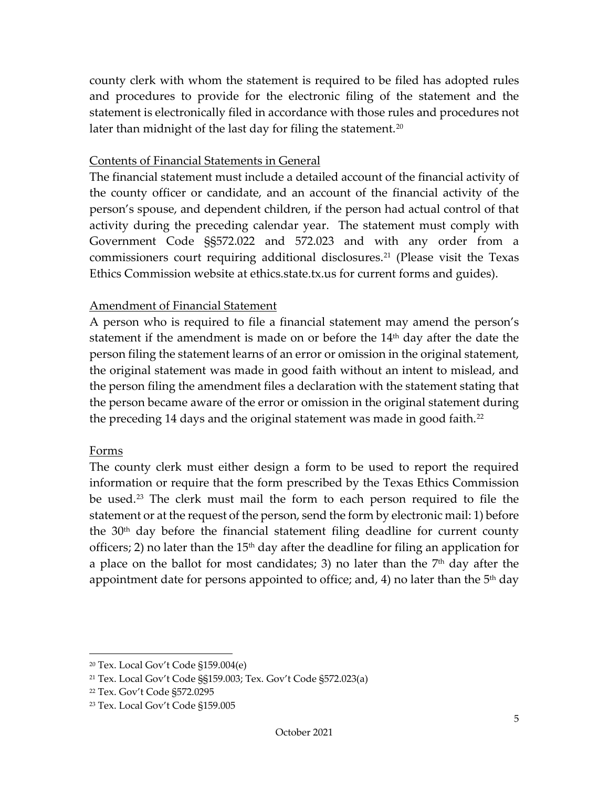county clerk with whom the statement is required to be filed has adopted rules and procedures to provide for the electronic filing of the statement and the statement is electronically filed in accordance with those rules and procedures not later than midnight of the last day for filing the statement.<sup>20</sup>

#### <span id="page-7-0"></span>Contents of Financial Statements in General

The financial statement must include a detailed account of the financial activity of the county officer or candidate, and an account of the financial activity of the person's spouse, and dependent children, if the person had actual control of that activity during the preceding calendar year. The statement must comply with Government Code §§572.022 and 572.023 and with any order from a commissioners court requiring additional disclosures.<sup>[21](#page-7-4)</sup> (Please visit the Texas Ethics Commission website at ethics.state.tx.us for current forms and guides).

#### <span id="page-7-1"></span>Amendment of Financial Statement

A person who is required to file a financial statement may amend the person's statement if the amendment is made on or before the  $14<sup>th</sup>$  day after the date the person filing the statement learns of an error or omission in the original statement, the original statement was made in good faith without an intent to mislead, and the person filing the amendment files a declaration with the statement stating that the person became aware of the error or omission in the original statement during the preceding 14 days and the original statement was made in good faith.<sup>[22](#page-7-5)</sup>

#### <span id="page-7-2"></span>Forms

The county clerk must either design a form to be used to report the required information or require that the form prescribed by the Texas Ethics Commission be used.[23](#page-7-6) The clerk must mail the form to each person required to file the statement or at the request of the person, send the form by electronic mail: 1) before the  $30<sup>th</sup>$  day before the financial statement filing deadline for current county officers; 2) no later than the  $15<sup>th</sup>$  day after the deadline for filing an application for a place on the ballot for most candidates; 3) no later than the  $7<sup>th</sup>$  day after the appointment date for persons appointed to office; and, 4) no later than the  $5<sup>th</sup>$  day

<span id="page-7-3"></span><sup>20</sup> Tex. Local Gov't Code §159.004(e)

<span id="page-7-4"></span><sup>21</sup> Tex. Local Gov't Code §§159.003; Tex. Gov't Code §572.023(a)

<span id="page-7-5"></span><sup>22</sup> Tex. Gov't Code §572.0295

<span id="page-7-6"></span><sup>23</sup> Tex. Local Gov't Code §159.005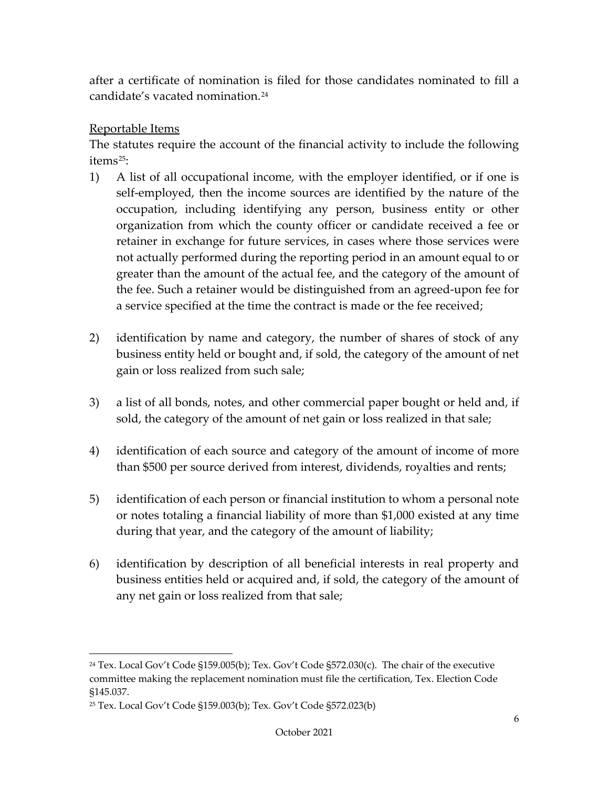after a certificate of nomination is filed for those candidates nominated to fill a candidate's vacated nomination.[24](#page-8-1)

#### <span id="page-8-0"></span>Reportable Items

The statutes require the account of the financial activity to include the following items<sup>[25](#page-8-2)</sup>:

- 1) A list of all occupational income, with the employer identified, or if one is self-employed, then the income sources are identified by the nature of the occupation, including identifying any person, business entity or other organization from which the county officer or candidate received a fee or retainer in exchange for future services, in cases where those services were not actually performed during the reporting period in an amount equal to or greater than the amount of the actual fee, and the category of the amount of the fee. Such a retainer would be distinguished from an agreed-upon fee for a service specified at the time the contract is made or the fee received;
- 2) identification by name and category, the number of shares of stock of any business entity held or bought and, if sold, the category of the amount of net gain or loss realized from such sale;
- 3) a list of all bonds, notes, and other commercial paper bought or held and, if sold, the category of the amount of net gain or loss realized in that sale;
- 4) identification of each source and category of the amount of income of more than \$500 per source derived from interest, dividends, royalties and rents;
- 5) identification of each person or financial institution to whom a personal note or notes totaling a financial liability of more than \$1,000 existed at any time during that year, and the category of the amount of liability;
- 6) identification by description of all beneficial interests in real property and business entities held or acquired and, if sold, the category of the amount of any net gain or loss realized from that sale;

<span id="page-8-1"></span><sup>24</sup> Tex. Local Gov't Code §159.005(b); Tex. Gov't Code §572.030(c). The chair of the executive committee making the replacement nomination must file the certification, Tex. Election Code §145.037.

<span id="page-8-2"></span><sup>25</sup> Tex. Local Gov't Code §159.003(b); Tex. Gov't Code §572.023(b)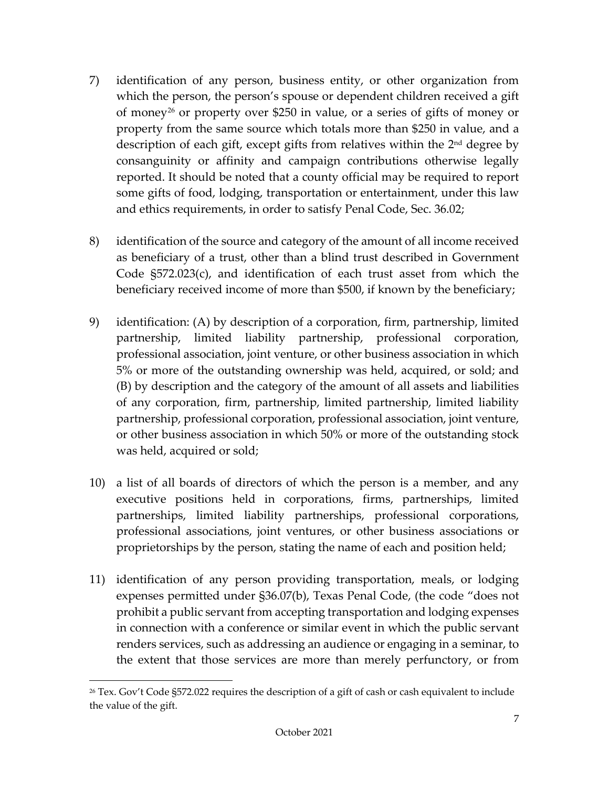- 7) identification of any person, business entity, or other organization from which the person, the person's spouse or dependent children received a gift of money[26](#page-9-0) or property over \$250 in value, or a series of gifts of money or property from the same source which totals more than \$250 in value, and a description of each gift, except gifts from relatives within the 2nd degree by consanguinity or affinity and campaign contributions otherwise legally reported. It should be noted that a county official may be required to report some gifts of food, lodging, transportation or entertainment, under this law and ethics requirements, in order to satisfy Penal Code, Sec. 36.02;
- 8) identification of the source and category of the amount of all income received as beneficiary of a trust, other than a blind trust described in Government Code §572.023(c), and identification of each trust asset from which the beneficiary received income of more than \$500, if known by the beneficiary;
- 9) identification: (A) by description of a corporation, firm, partnership, limited partnership, limited liability partnership, professional corporation, professional association, joint venture, or other business association in which 5% or more of the outstanding ownership was held, acquired, or sold; and (B) by description and the category of the amount of all assets and liabilities of any corporation, firm, partnership, limited partnership, limited liability partnership, professional corporation, professional association, joint venture, or other business association in which 50% or more of the outstanding stock was held, acquired or sold;
- 10) a list of all boards of directors of which the person is a member, and any executive positions held in corporations, firms, partnerships, limited partnerships, limited liability partnerships, professional corporations, professional associations, joint ventures, or other business associations or proprietorships by the person, stating the name of each and position held;
- 11) identification of any person providing transportation, meals, or lodging expenses permitted under §36.07(b), Texas Penal Code, (the code "does not prohibit a public servant from accepting transportation and lodging expenses in connection with a conference or similar event in which the public servant renders services, such as addressing an audience or engaging in a seminar, to the extent that those services are more than merely perfunctory, or from

<span id="page-9-0"></span> $26$  Tex. Gov't Code §572.022 requires the description of a gift of cash or cash equivalent to include the value of the gift.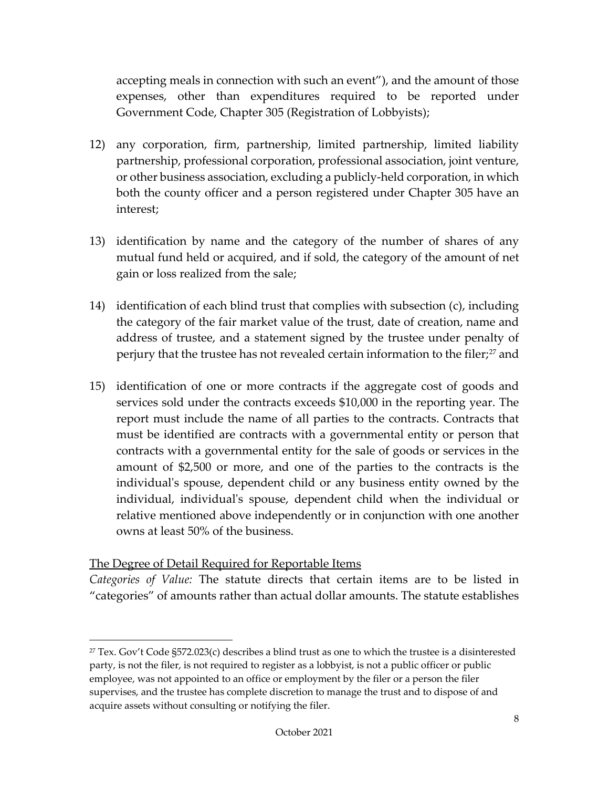accepting meals in connection with such an event"), and the amount of those expenses, other than expenditures required to be reported under Government Code, Chapter 305 (Registration of Lobbyists);

- 12) any corporation, firm, partnership, limited partnership, limited liability partnership, professional corporation, professional association, joint venture, or other business association, excluding a publicly-held corporation, in which both the county officer and a person registered under Chapter 305 have an interest;
- 13) identification by name and the category of the number of shares of any mutual fund held or acquired, and if sold, the category of the amount of net gain or loss realized from the sale;
- 14) identification of each blind trust that complies with subsection (c), including the category of the fair market value of the trust, date of creation, name and address of trustee, and a statement signed by the trustee under penalty of perjury that the trustee has not revealed certain information to the filer;<sup>[27](#page-10-1)</sup> and
- 15) identification of one or more contracts if the aggregate cost of goods and services sold under the contracts exceeds \$10,000 in the reporting year. The report must include the name of all parties to the contracts. Contracts that must be identified are contracts with a governmental entity or person that contracts with a governmental entity for the sale of goods or services in the amount of \$2,500 or more, and one of the parties to the contracts is the individual's spouse, dependent child or any business entity owned by the individual, individual's spouse, dependent child when the individual or relative mentioned above independently or in conjunction with one another owns at least 50% of the business.

#### <span id="page-10-0"></span>The Degree of Detail Required for Reportable Items

*Categories of Value:* The statute directs that certain items are to be listed in "categories" of amounts rather than actual dollar amounts. The statute establishes

<span id="page-10-1"></span> $27$  Tex. Gov't Code §572.023(c) describes a blind trust as one to which the trustee is a disinterested party, is not the filer, is not required to register as a lobbyist, is not a public officer or public employee, was not appointed to an office or employment by the filer or a person the filer supervises, and the trustee has complete discretion to manage the trust and to dispose of and acquire assets without consulting or notifying the filer.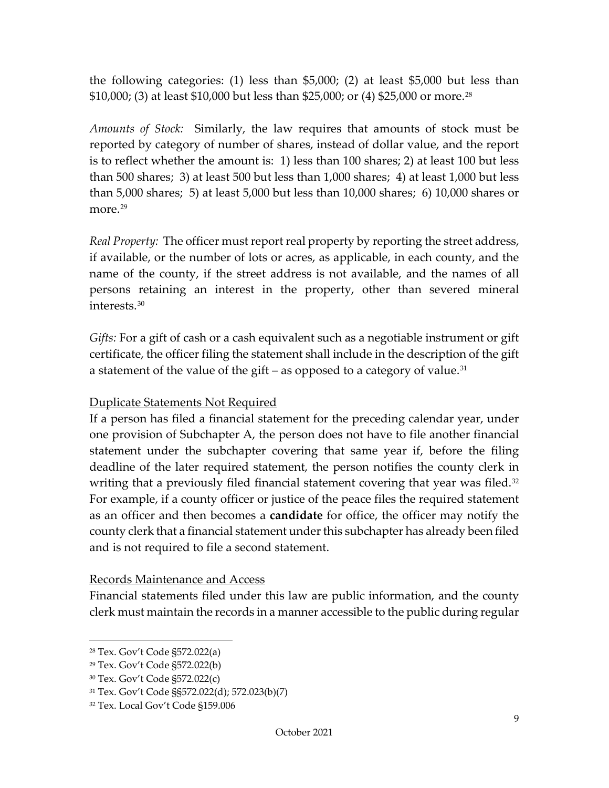the following categories: (1) less than \$5,000; (2) at least \$5,000 but less than \$10,000; (3) at least \$10,000 but less than \$25,000; or (4) \$25,000 or more.[28](#page-11-2) 

*Amounts of Stock:* Similarly, the law requires that amounts of stock must be reported by category of number of shares, instead of dollar value, and the report is to reflect whether the amount is: 1) less than 100 shares; 2) at least 100 but less than 500 shares; 3) at least 500 but less than 1,000 shares; 4) at least 1,000 but less than 5,000 shares; 5) at least 5,000 but less than 10,000 shares; 6) 10,000 shares or more.<sup>[29](#page-11-3)</sup>

*Real Property:* The officer must report real property by reporting the street address, if available, or the number of lots or acres, as applicable, in each county, and the name of the county, if the street address is not available, and the names of all persons retaining an interest in the property, other than severed mineral interests.[30](#page-11-4)

*Gifts:* For a gift of cash or a cash equivalent such as a negotiable instrument or gift certificate, the officer filing the statement shall include in the description of the gift a statement of the value of the gift – as opposed to a category of value.<sup>[31](#page-11-5)</sup>

#### <span id="page-11-0"></span>Duplicate Statements Not Required

If a person has filed a financial statement for the preceding calendar year, under one provision of Subchapter A, the person does not have to file another financial statement under the subchapter covering that same year if, before the filing deadline of the later required statement, the person notifies the county clerk in writing that a previously filed financial statement covering that year was filed.<sup>[32](#page-11-6)</sup> For example, if a county officer or justice of the peace files the required statement as an officer and then becomes a **candidate** for office, the officer may notify the county clerk that a financial statement under this subchapter has already been filed and is not required to file a second statement.

#### <span id="page-11-1"></span>Records Maintenance and Access

Financial statements filed under this law are public information, and the county clerk must maintain the records in a manner accessible to the public during regular

<span id="page-11-2"></span><sup>28</sup> Tex. Gov't Code §572.022(a)

<span id="page-11-3"></span><sup>29</sup> Tex. Gov't Code §572.022(b)

<span id="page-11-4"></span><sup>30</sup> Tex. Gov't Code §572.022(c)

<span id="page-11-5"></span><sup>31</sup> Tex. Gov't Code §§572.022(d); 572.023(b)(7)

<span id="page-11-6"></span><sup>32</sup> Tex. Local Gov't Code §159.006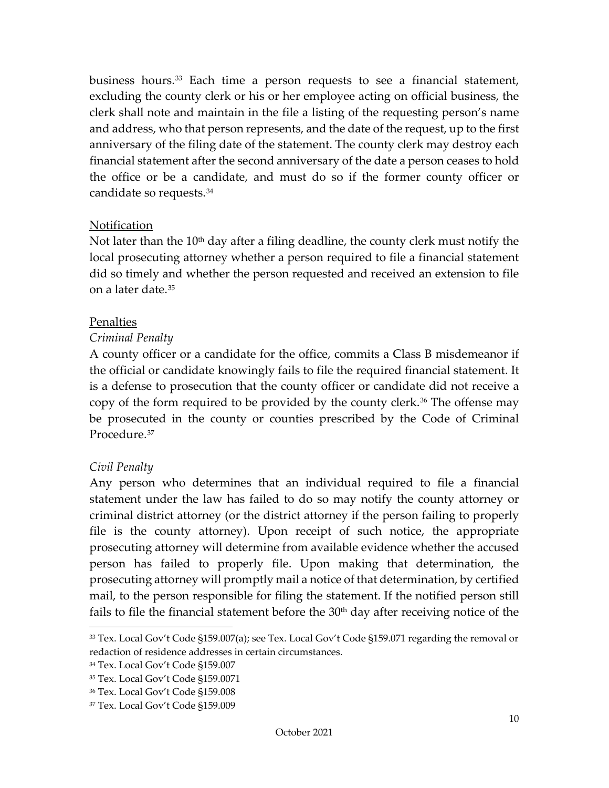business hours.<sup>[33](#page-12-2)</sup> Each time a person requests to see a financial statement, excluding the county clerk or his or her employee acting on official business, the clerk shall note and maintain in the file a listing of the requesting person's name and address, who that person represents, and the date of the request, up to the first anniversary of the filing date of the statement. The county clerk may destroy each financial statement after the second anniversary of the date a person ceases to hold the office or be a candidate, and must do so if the former county officer or candidate so requests.[34](#page-12-3) 

#### <span id="page-12-0"></span>Notification

Not later than the  $10<sup>th</sup>$  day after a filing deadline, the county clerk must notify the local prosecuting attorney whether a person required to file a financial statement did so timely and whether the person requested and received an extension to file on a later date.[35](#page-12-4)

#### <span id="page-12-1"></span>Penalties

#### *Criminal Penalty*

A county officer or a candidate for the office, commits a Class B misdemeanor if the official or candidate knowingly fails to file the required financial statement. It is a defense to prosecution that the county officer or candidate did not receive a copy of the form required to be provided by the county clerk.[36](#page-12-5) The offense may be prosecuted in the county or counties prescribed by the Code of Criminal Procedure.[37](#page-12-6)

#### *Civil Penalty*

Any person who determines that an individual required to file a financial statement under the law has failed to do so may notify the county attorney or criminal district attorney (or the district attorney if the person failing to properly file is the county attorney). Upon receipt of such notice, the appropriate prosecuting attorney will determine from available evidence whether the accused person has failed to properly file. Upon making that determination, the prosecuting attorney will promptly mail a notice of that determination, by certified mail, to the person responsible for filing the statement. If the notified person still fails to file the financial statement before the  $30<sup>th</sup>$  day after receiving notice of the

<span id="page-12-2"></span><sup>33</sup> Tex. Local Gov't Code §159.007(a); see Tex. Local Gov't Code §159.071 regarding the removal or redaction of residence addresses in certain circumstances.

<span id="page-12-3"></span><sup>34</sup> Tex. Local Gov't Code §159.007

<span id="page-12-4"></span><sup>35</sup> Tex. Local Gov't Code §159.0071

<span id="page-12-5"></span><sup>36</sup> Tex. Local Gov't Code §159.008

<span id="page-12-6"></span><sup>37</sup> Tex. Local Gov't Code §159.009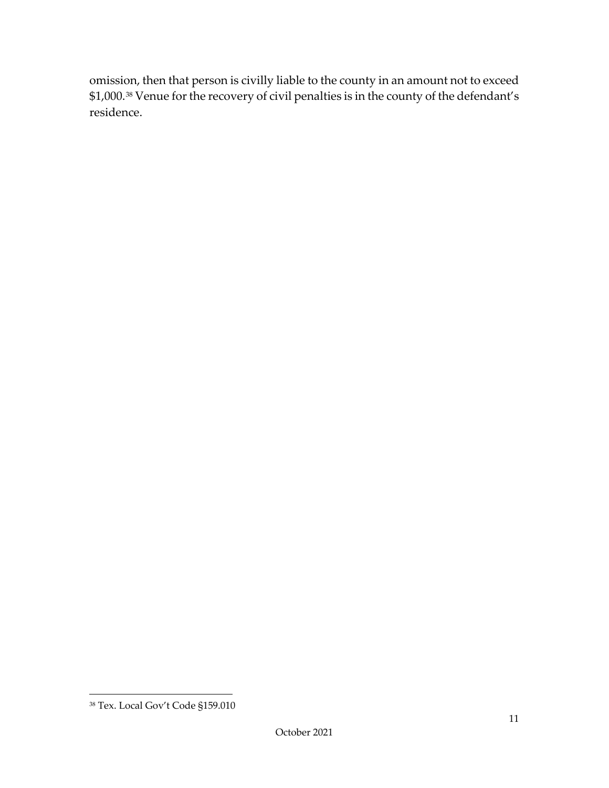omission, then that person is civilly liable to the county in an amount not to exceed \$1,000.[38](#page-13-0) Venue for the recovery of civil penalties is in the county of the defendant's residence.

<span id="page-13-0"></span><sup>38</sup> Tex. Local Gov't Code §159.010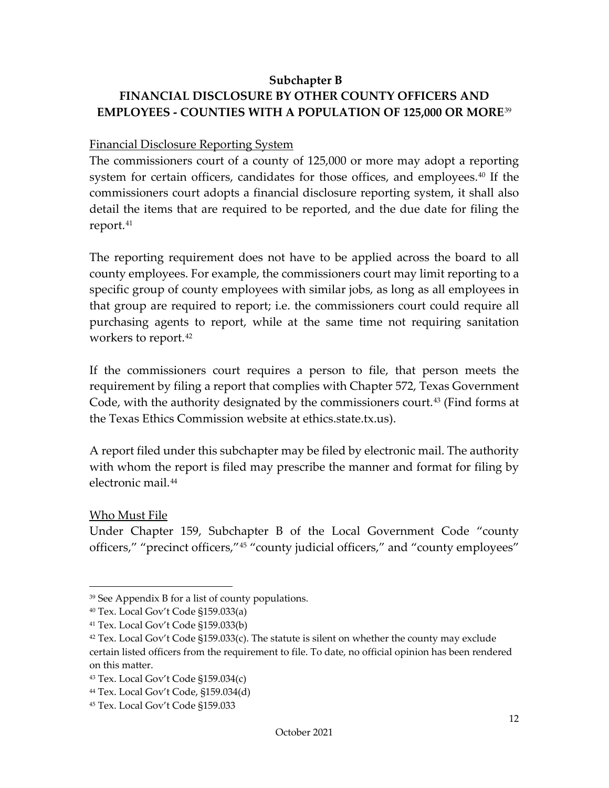## <span id="page-14-0"></span>**Subchapter B FINANCIAL DISCLOSURE BY OTHER COUNTY OFFICERS AND EMPLOYEES - COUNTIES WITH A POPULATION OF 125,000 OR MORE**[39](#page-14-3)

#### <span id="page-14-1"></span>Financial Disclosure Reporting System

The commissioners court of a county of 125,000 or more may adopt a reporting system for certain officers, candidates for those offices, and employees.[40](#page-14-4) If the commissioners court adopts a financial disclosure reporting system, it shall also detail the items that are required to be reported, and the due date for filing the report.<sup>[41](#page-14-5)</sup>

The reporting requirement does not have to be applied across the board to all county employees. For example, the commissioners court may limit reporting to a specific group of county employees with similar jobs, as long as all employees in that group are required to report; i.e. the commissioners court could require all purchasing agents to report, while at the same time not requiring sanitation workers to report.[42](#page-14-6)

If the commissioners court requires a person to file, that person meets the requirement by filing a report that complies with Chapter 572, Texas Government Code, with the authority designated by the commissioners court.<sup>[43](#page-14-7)</sup> (Find forms at the Texas Ethics Commission website at ethics.state.tx.us).

A report filed under this subchapter may be filed by electronic mail. The authority with whom the report is filed may prescribe the manner and format for filing by electronic mail.[44](#page-14-8)

#### <span id="page-14-2"></span>Who Must File

Under Chapter 159, Subchapter B of the Local Government Code "county officers," "precinct officers,"[45](#page-14-9) "county judicial officers," and "county employees"

<span id="page-14-3"></span><sup>39</sup> See Appendix B for a list of county populations.

<span id="page-14-4"></span><sup>40</sup> Tex. Local Gov't Code §159.033(a)

<span id="page-14-5"></span><sup>41</sup> Tex. Local Gov't Code §159.033(b)

<span id="page-14-6"></span> $42$  Tex. Local Gov't Code §159.033(c). The statute is silent on whether the county may exclude certain listed officers from the requirement to file. To date, no official opinion has been rendered on this matter.

<span id="page-14-7"></span><sup>43</sup> Tex. Local Gov't Code §159.034(c)

<span id="page-14-8"></span><sup>44</sup> Tex. Local Gov't Code, §159.034(d)

<span id="page-14-9"></span><sup>45</sup> Tex. Local Gov't Code §159.033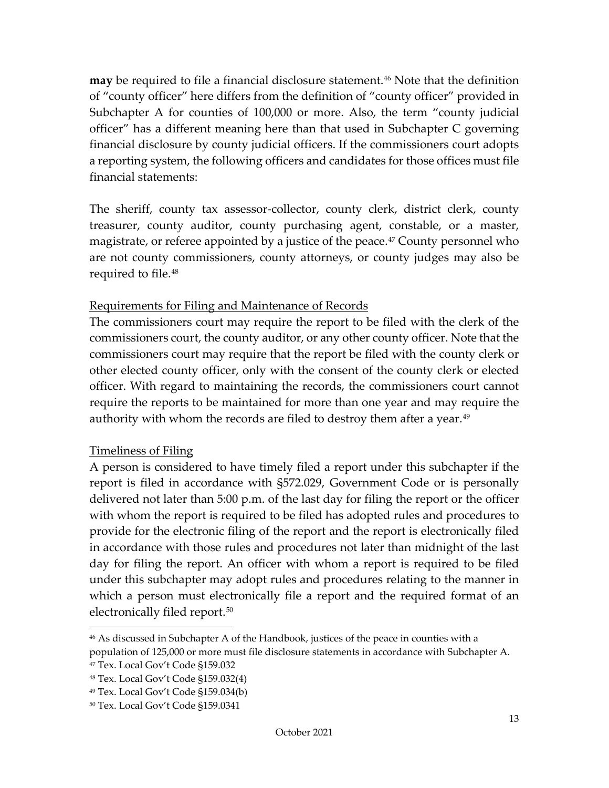**may** be required to file a financial disclosure statement.<sup>[46](#page-15-2)</sup> Note that the definition of "county officer" here differs from the definition of "county officer" provided in Subchapter A for counties of 100,000 or more. Also, the term "county judicial officer" has a different meaning here than that used in Subchapter C governing financial disclosure by county judicial officers. If the commissioners court adopts a reporting system, the following officers and candidates for those offices must file financial statements:

The sheriff, county tax assessor-collector, county clerk, district clerk, county treasurer, county auditor, county purchasing agent, constable, or a master, magistrate, or referee appointed by a justice of the peace.<sup>[47](#page-15-3)</sup> County personnel who are not county commissioners, county attorneys, or county judges may also be required to file.<sup>[48](#page-15-4)</sup>

#### <span id="page-15-0"></span>Requirements for Filing and Maintenance of Records

The commissioners court may require the report to be filed with the clerk of the commissioners court, the county auditor, or any other county officer. Note that the commissioners court may require that the report be filed with the county clerk or other elected county officer, only with the consent of the county clerk or elected officer. With regard to maintaining the records, the commissioners court cannot require the reports to be maintained for more than one year and may require the authority with whom the records are filed to destroy them after a year.<sup>[49](#page-15-5)</sup>

#### <span id="page-15-1"></span>Timeliness of Filing

A person is considered to have timely filed a report under this subchapter if the report is filed in accordance with §572.029, Government Code or is personally delivered not later than 5:00 p.m. of the last day for filing the report or the officer with whom the report is required to be filed has adopted rules and procedures to provide for the electronic filing of the report and the report is electronically filed in accordance with those rules and procedures not later than midnight of the last day for filing the report. An officer with whom a report is required to be filed under this subchapter may adopt rules and procedures relating to the manner in which a person must electronically file a report and the required format of an electronically filed report.<sup>[50](#page-15-6)</sup>

<span id="page-15-2"></span><sup>46</sup> As discussed in Subchapter A of the Handbook, justices of the peace in counties with a population of 125,000 or more must file disclosure statements in accordance with Subchapter A.

<span id="page-15-3"></span><sup>47</sup> Tex. Local Gov't Code §159.032

<span id="page-15-4"></span><sup>48</sup> Tex. Local Gov't Code §159.032(4)

<span id="page-15-5"></span><sup>49</sup> Tex. Local Gov't Code §159.034(b)

<span id="page-15-6"></span><sup>50</sup> Tex. Local Gov't Code §159.0341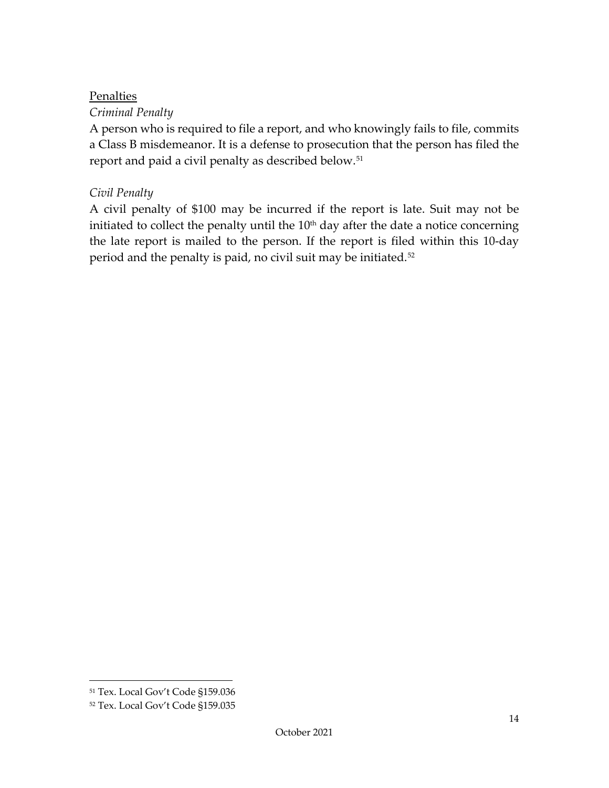#### <span id="page-16-0"></span>Penalties

#### *Criminal Penalty*

A person who is required to file a report, and who knowingly fails to file, commits a Class B misdemeanor. It is a defense to prosecution that the person has filed the report and paid a civil penalty as described below.[51](#page-16-1)

#### *Civil Penalty*

A civil penalty of \$100 may be incurred if the report is late. Suit may not be initiated to collect the penalty until the  $10<sup>th</sup>$  day after the date a notice concerning the late report is mailed to the person. If the report is filed within this 10-day period and the penalty is paid, no civil suit may be initiated.<sup>[52](#page-16-2)</sup>

<span id="page-16-1"></span><sup>51</sup> Tex. Local Gov't Code §159.036

<span id="page-16-2"></span><sup>52</sup> Tex. Local Gov't Code §159.035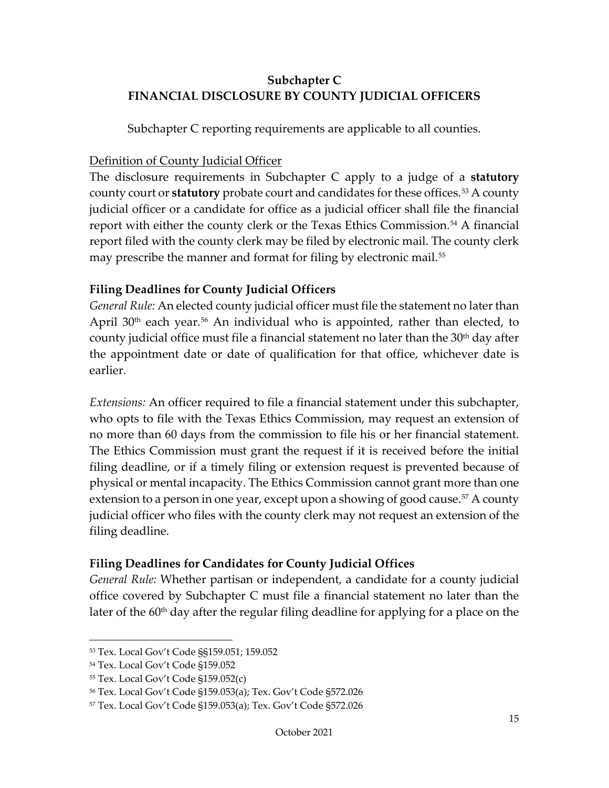## <span id="page-17-0"></span>**Subchapter C FINANCIAL DISCLOSURE BY COUNTY JUDICIAL OFFICERS**

Subchapter C reporting requirements are applicable to all counties.

#### <span id="page-17-1"></span>Definition of County Judicial Officer

The disclosure requirements in Subchapter C apply to a judge of a **statutory** county court or **statutory** probate court and candidates for these offices.<sup>[53](#page-17-4)</sup> A county judicial officer or a candidate for office as a judicial officer shall file the financial report with either the county clerk or the Texas Ethics Commission.<sup>[54](#page-17-5)</sup> A financial report filed with the county clerk may be filed by electronic mail. The county clerk may prescribe the manner and format for filing by electronic mail.<sup>[55](#page-17-6)</sup>

## <span id="page-17-2"></span>**Filing Deadlines for County Judicial Officers**

*General Rule:* An elected county judicial officer must file the statement no later than April  $30<sup>th</sup>$  each year.<sup>[56](#page-17-7)</sup> An individual who is appointed, rather than elected, to county judicial office must file a financial statement no later than the  $30<sup>th</sup>$  day after the appointment date or date of qualification for that office, whichever date is earlier.

*Extensions:* An officer required to file a financial statement under this subchapter, who opts to file with the Texas Ethics Commission, may request an extension of no more than 60 days from the commission to file his or her financial statement. The Ethics Commission must grant the request if it is received before the initial filing deadline, or if a timely filing or extension request is prevented because of physical or mental incapacity. The Ethics Commission cannot grant more than one extension to a person in one year, except upon a showing of good cause.<sup>[57](#page-17-8)</sup> A county judicial officer who files with the county clerk may not request an extension of the filing deadline.

## <span id="page-17-3"></span>**Filing Deadlines for Candidates for County Judicial Offices**

*General Rule:* Whether partisan or independent, a candidate for a county judicial office covered by Subchapter C must file a financial statement no later than the later of the 60<sup>th</sup> day after the regular filing deadline for applying for a place on the

<span id="page-17-4"></span><sup>53</sup> Tex. Local Gov't Code §§159.051; 159.052

<span id="page-17-5"></span><sup>54</sup> Tex. Local Gov't Code §159.052

<span id="page-17-6"></span><sup>55</sup> Tex. Local Gov't Code §159.052(c)

<span id="page-17-7"></span><sup>56</sup> Tex. Local Gov't Code §159.053(a); Tex. Gov't Code §572.026

<span id="page-17-8"></span><sup>57</sup> Tex. Local Gov't Code §159.053(a); Tex. Gov't Code §572.026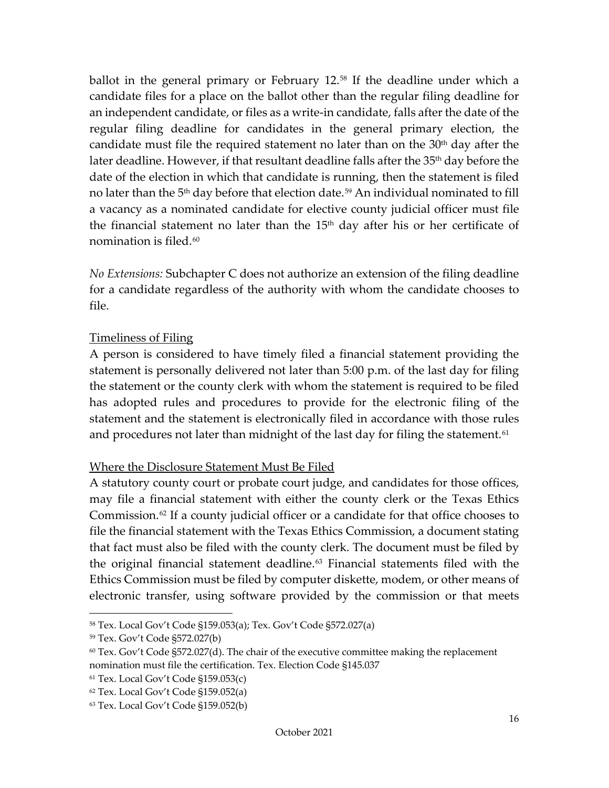ballot in the general primary or February 12.<sup>[58](#page-18-2)</sup> If the deadline under which a candidate files for a place on the ballot other than the regular filing deadline for an independent candidate, or files as a write-in candidate, falls after the date of the regular filing deadline for candidates in the general primary election, the candidate must file the required statement no later than on the  $30<sup>th</sup>$  day after the later deadline. However, if that resultant deadline falls after the 35<sup>th</sup> day before the date of the election in which that candidate is running, then the statement is filed no later than the 5<sup>th</sup> day before that election date.<sup>[59](#page-18-3)</sup> An individual nominated to fill a vacancy as a nominated candidate for elective county judicial officer must file the financial statement no later than the  $15<sup>th</sup>$  day after his or her certificate of nomination is filed.<sup>[60](#page-18-4)</sup>

*No Extensions:* Subchapter C does not authorize an extension of the filing deadline for a candidate regardless of the authority with whom the candidate chooses to file.

#### <span id="page-18-0"></span>Timeliness of Filing

A person is considered to have timely filed a financial statement providing the statement is personally delivered not later than 5:00 p.m. of the last day for filing the statement or the county clerk with whom the statement is required to be filed has adopted rules and procedures to provide for the electronic filing of the statement and the statement is electronically filed in accordance with those rules and procedures not later than midnight of the last day for filing the statement.<sup>[61](#page-18-5)</sup>

#### <span id="page-18-1"></span>Where the Disclosure Statement Must Be Filed

A statutory county court or probate court judge, and candidates for those offices, may file a financial statement with either the county clerk or the Texas Ethics Commission.[62](#page-18-6) If a county judicial officer or a candidate for that office chooses to file the financial statement with the Texas Ethics Commission, a document stating that fact must also be filed with the county clerk. The document must be filed by the original financial statement deadline.[63](#page-18-7) Financial statements filed with the Ethics Commission must be filed by computer diskette, modem, or other means of electronic transfer, using software provided by the commission or that meets

<span id="page-18-2"></span><sup>58</sup> Tex. Local Gov't Code §159.053(a); Tex. Gov't Code §572.027(a)

<span id="page-18-4"></span><span id="page-18-3"></span><sup>59</sup> Tex. Gov't Code §572.027(b)

 $60$  Tex. Gov't Code §572.027(d). The chair of the executive committee making the replacement nomination must file the certification. Tex. Election Code §145.037

<span id="page-18-6"></span><span id="page-18-5"></span><sup>61</sup> Tex. Local Gov't Code §159.053(c)

<sup>62</sup> Tex. Local Gov't Code §159.052(a)

<span id="page-18-7"></span><sup>63</sup> Tex. Local Gov't Code §159.052(b)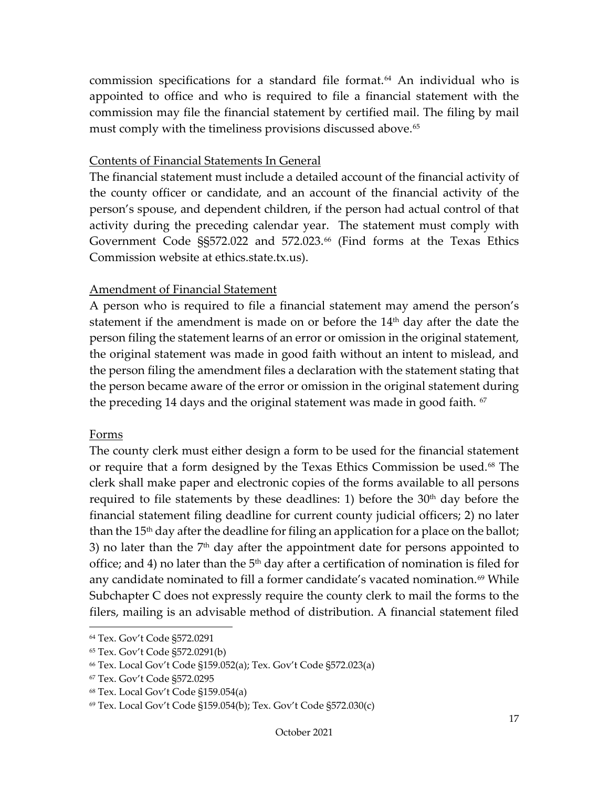commission specifications for a standard file format.<sup>[64](#page-19-3)</sup> An individual who is appointed to office and who is required to file a financial statement with the commission may file the financial statement by certified mail. The filing by mail must comply with the timeliness provisions discussed above.<sup>[65](#page-19-4)</sup>

#### <span id="page-19-0"></span>Contents of Financial Statements In General

The financial statement must include a detailed account of the financial activity of the county officer or candidate, and an account of the financial activity of the person's spouse, and dependent children, if the person had actual control of that activity during the preceding calendar year. The statement must comply with Government Code §§572.022 and 572.023.<sup>[66](#page-19-5)</sup> (Find forms at the Texas Ethics Commission website at ethics.state.tx.us).

#### <span id="page-19-1"></span>Amendment of Financial Statement

A person who is required to file a financial statement may amend the person's statement if the amendment is made on or before the  $14<sup>th</sup>$  day after the date the person filing the statement learns of an error or omission in the original statement, the original statement was made in good faith without an intent to mislead, and the person filing the amendment files a declaration with the statement stating that the person became aware of the error or omission in the original statement during the preceding 14 days and the original statement was made in good faith.  $67$ 

#### <span id="page-19-2"></span>Forms

The county clerk must either design a form to be used for the financial statement or require that a form designed by the Texas Ethics Commission be used.<sup>[68](#page-19-7)</sup> The clerk shall make paper and electronic copies of the forms available to all persons required to file statements by these deadlines: 1) before the  $30<sup>th</sup>$  day before the financial statement filing deadline for current county judicial officers; 2) no later than the 15<sup>th</sup> day after the deadline for filing an application for a place on the ballot; 3) no later than the  $7<sup>th</sup>$  day after the appointment date for persons appointed to office; and 4) no later than the  $5<sup>th</sup>$  day after a certification of nomination is filed for any candidate nominated to fill a former candidate's vacated nomination.<sup>[69](#page-19-8)</sup> While Subchapter C does not expressly require the county clerk to mail the forms to the filers, mailing is an advisable method of distribution. A financial statement filed

<span id="page-19-3"></span><sup>64</sup> Tex. Gov't Code §572.0291

<span id="page-19-4"></span><sup>65</sup> Tex. Gov't Code §572.0291(b)

<span id="page-19-5"></span><sup>66</sup> Tex. Local Gov't Code §159.052(a); Tex. Gov't Code §572.023(a)

<span id="page-19-6"></span><sup>67</sup> Tex. Gov't Code §572.0295

<span id="page-19-7"></span><sup>68</sup> Tex. Local Gov't Code §159.054(a)

<span id="page-19-8"></span><sup>69</sup> Tex. Local Gov't Code §159.054(b); Tex. Gov't Code §572.030(c)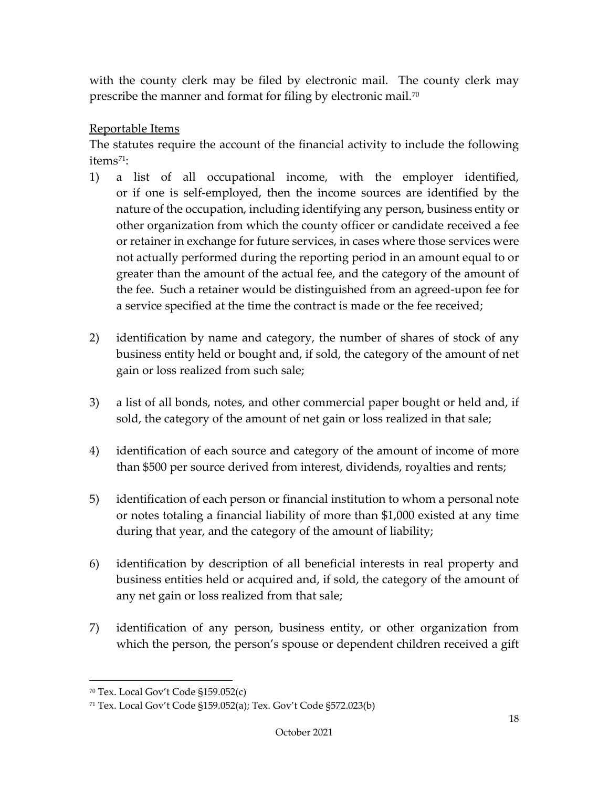with the county clerk may be filed by electronic mail. The county clerk may prescribe the manner and format for filing by electronic mail.<sup>70</sup>

#### <span id="page-20-0"></span>Reportable Items

The statutes require the account of the financial activity to include the following items<sup>[71](#page-20-2)</sup>:

- 1) a list of all occupational income, with the employer identified, or if one is self-employed, then the income sources are identified by the nature of the occupation, including identifying any person, business entity or other organization from which the county officer or candidate received a fee or retainer in exchange for future services, in cases where those services were not actually performed during the reporting period in an amount equal to or greater than the amount of the actual fee, and the category of the amount of the fee. Such a retainer would be distinguished from an agreed-upon fee for a service specified at the time the contract is made or the fee received;
- 2) identification by name and category, the number of shares of stock of any business entity held or bought and, if sold, the category of the amount of net gain or loss realized from such sale;
- 3) a list of all bonds, notes, and other commercial paper bought or held and, if sold, the category of the amount of net gain or loss realized in that sale;
- 4) identification of each source and category of the amount of income of more than \$500 per source derived from interest, dividends, royalties and rents;
- 5) identification of each person or financial institution to whom a personal note or notes totaling a financial liability of more than \$1,000 existed at any time during that year, and the category of the amount of liability;
- 6) identification by description of all beneficial interests in real property and business entities held or acquired and, if sold, the category of the amount of any net gain or loss realized from that sale;
- 7) identification of any person, business entity, or other organization from which the person, the person's spouse or dependent children received a gift

<span id="page-20-1"></span><sup>70</sup> Tex. Local Gov't Code §159.052(c)

<span id="page-20-2"></span><sup>71</sup> Tex. Local Gov't Code §159.052(a); Tex. Gov't Code §572.023(b)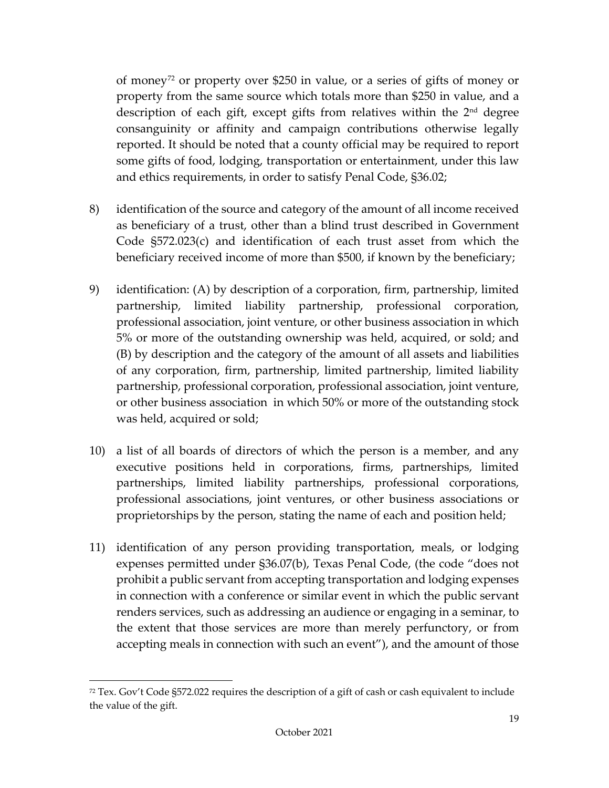of money[72](#page-21-0) or property over \$250 in value, or a series of gifts of money or property from the same source which totals more than \$250 in value, and a description of each gift, except gifts from relatives within the 2<sup>nd</sup> degree consanguinity or affinity and campaign contributions otherwise legally reported. It should be noted that a county official may be required to report some gifts of food, lodging, transportation or entertainment, under this law and ethics requirements, in order to satisfy Penal Code, §36.02;

- 8) identification of the source and category of the amount of all income received as beneficiary of a trust, other than a blind trust described in Government Code §572.023(c) and identification of each trust asset from which the beneficiary received income of more than \$500, if known by the beneficiary;
- 9) identification: (A) by description of a corporation, firm, partnership, limited partnership, limited liability partnership, professional corporation, professional association, joint venture, or other business association in which 5% or more of the outstanding ownership was held, acquired, or sold; and (B) by description and the category of the amount of all assets and liabilities of any corporation, firm, partnership, limited partnership, limited liability partnership, professional corporation, professional association, joint venture, or other business association in which 50% or more of the outstanding stock was held, acquired or sold;
- 10) a list of all boards of directors of which the person is a member, and any executive positions held in corporations, firms, partnerships, limited partnerships, limited liability partnerships, professional corporations, professional associations, joint ventures, or other business associations or proprietorships by the person, stating the name of each and position held;
- 11) identification of any person providing transportation, meals, or lodging expenses permitted under §36.07(b), Texas Penal Code, (the code "does not prohibit a public servant from accepting transportation and lodging expenses in connection with a conference or similar event in which the public servant renders services, such as addressing an audience or engaging in a seminar, to the extent that those services are more than merely perfunctory, or from accepting meals in connection with such an event"), and the amount of those

<span id="page-21-0"></span> $72$  Tex. Gov't Code §572.022 requires the description of a gift of cash or cash equivalent to include the value of the gift.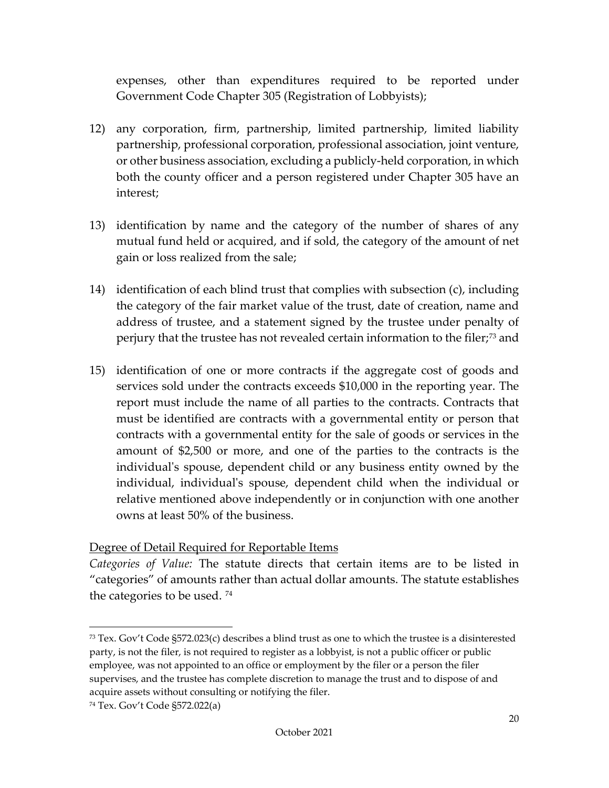expenses, other than expenditures required to be reported under Government Code Chapter 305 (Registration of Lobbyists);

- 12) any corporation, firm, partnership, limited partnership, limited liability partnership, professional corporation, professional association, joint venture, or other business association, excluding a publicly-held corporation, in which both the county officer and a person registered under Chapter 305 have an interest;
- 13) identification by name and the category of the number of shares of any mutual fund held or acquired, and if sold, the category of the amount of net gain or loss realized from the sale;
- 14) identification of each blind trust that complies with subsection (c), including the category of the fair market value of the trust, date of creation, name and address of trustee, and a statement signed by the trustee under penalty of perjury that the trustee has not revealed certain information to the filer;[73](#page-22-1) and
- 15) identification of one or more contracts if the aggregate cost of goods and services sold under the contracts exceeds \$10,000 in the reporting year. The report must include the name of all parties to the contracts. Contracts that must be identified are contracts with a governmental entity or person that contracts with a governmental entity for the sale of goods or services in the amount of \$2,500 or more, and one of the parties to the contracts is the individual's spouse, dependent child or any business entity owned by the individual, individual's spouse, dependent child when the individual or relative mentioned above independently or in conjunction with one another owns at least 50% of the business.

## <span id="page-22-0"></span>Degree of Detail Required for Reportable Items

*Categories of Value:* The statute directs that certain items are to be listed in "categories" of amounts rather than actual dollar amounts. The statute establishes the categories to be used. [74](#page-22-2)

<span id="page-22-1"></span> $73$  Tex. Gov't Code §572.023(c) describes a blind trust as one to which the trustee is a disinterested party, is not the filer, is not required to register as a lobbyist, is not a public officer or public employee, was not appointed to an office or employment by the filer or a person the filer supervises, and the trustee has complete discretion to manage the trust and to dispose of and acquire assets without consulting or notifying the filer.

<span id="page-22-2"></span><sup>74</sup> Tex. Gov't Code §572.022(a)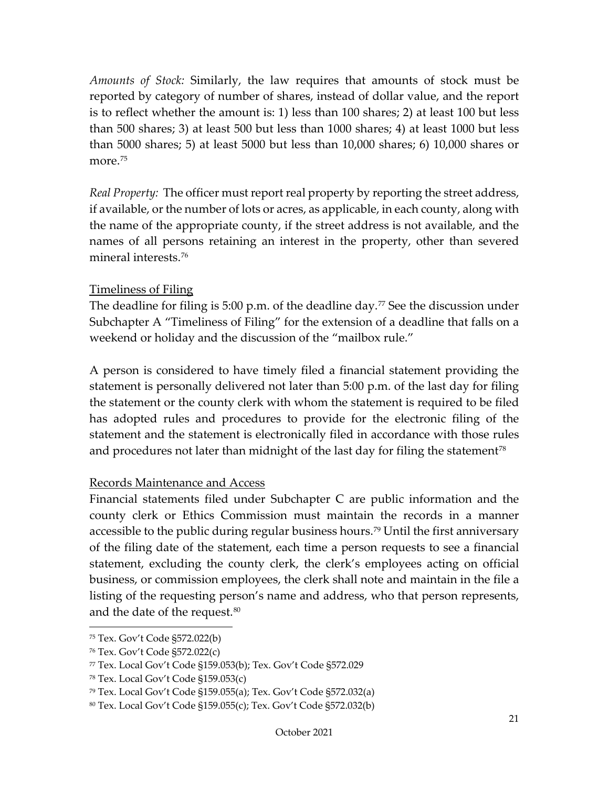*Amounts of Stock:* Similarly, the law requires that amounts of stock must be reported by category of number of shares, instead of dollar value, and the report is to reflect whether the amount is: 1) less than 100 shares; 2) at least 100 but less than 500 shares; 3) at least 500 but less than 1000 shares; 4) at least 1000 but less than 5000 shares; 5) at least 5000 but less than 10,000 shares; 6) 10,000 shares or more.<sup>[75](#page-23-2)</sup>

*Real Property:* The officer must report real property by reporting the street address, if available, or the number of lots or acres, as applicable, in each county, along with the name of the appropriate county, if the street address is not available, and the names of all persons retaining an interest in the property, other than severed mineral interests.[76](#page-23-3)

#### <span id="page-23-0"></span>Timeliness of Filing

The deadline for filing is 5:00 p.m. of the deadline day.<sup>[77](#page-23-4)</sup> See the discussion under Subchapter A "Timeliness of Filing" for the extension of a deadline that falls on a weekend or holiday and the discussion of the "mailbox rule."

A person is considered to have timely filed a financial statement providing the statement is personally delivered not later than 5:00 p.m. of the last day for filing the statement or the county clerk with whom the statement is required to be filed has adopted rules and procedures to provide for the electronic filing of the statement and the statement is electronically filed in accordance with those rules and procedures not later than midnight of the last day for filing the statement<sup>[78](#page-23-5)</sup>

#### <span id="page-23-1"></span>Records Maintenance and Access

Financial statements filed under Subchapter C are public information and the county clerk or Ethics Commission must maintain the records in a manner accessible to the public during regular business hours.<sup>[79](#page-23-6)</sup> Until the first anniversary of the filing date of the statement, each time a person requests to see a financial statement, excluding the county clerk, the clerk's employees acting on official business, or commission employees, the clerk shall note and maintain in the file a listing of the requesting person's name and address, who that person represents, and the date of the request.[80](#page-24-1)

<sup>75</sup> Tex. Gov't Code §572.022(b)

<span id="page-23-2"></span><sup>76</sup> Tex. Gov't Code §572.022(c)

<span id="page-23-3"></span><sup>77</sup> Tex. Local Gov't Code §159.053(b); Tex. Gov't Code §572.029

<span id="page-23-4"></span><sup>78</sup> Tex. Local Gov't Code §159.053(c)

<span id="page-23-5"></span><sup>79</sup> Tex. Local Gov't Code §159.055(a); Tex. Gov't Code §572.032(a)

<span id="page-23-6"></span><sup>80</sup> Tex. Local Gov't Code §159.055(c); Tex. Gov't Code §572.032(b)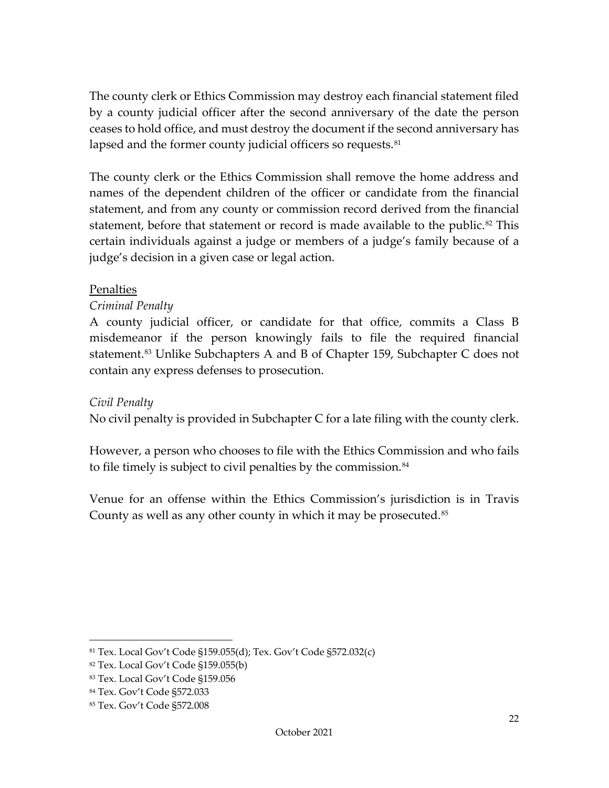The county clerk or Ethics Commission may destroy each financial statement filed by a county judicial officer after the second anniversary of the date the person ceases to hold office, and must destroy the document if the second anniversary has lapsed and the former county judicial officers so requests.<sup>[81](#page-24-2)</sup>

The county clerk or the Ethics Commission shall remove the home address and names of the dependent children of the officer or candidate from the financial statement, and from any county or commission record derived from the financial statement, before that statement or record is made available to the public.<sup>[82](#page-24-3)</sup> This certain individuals against a judge or members of a judge's family because of a judge's decision in a given case or legal action.

#### <span id="page-24-0"></span>Penalties

## *Criminal Penalty*

A county judicial officer, or candidate for that office, commits a Class B misdemeanor if the person knowingly fails to file the required financial statement.<sup>[83](#page-24-4)</sup> Unlike Subchapters A and B of Chapter 159, Subchapter C does not contain any express defenses to prosecution.

#### *Civil Penalty*

No civil penalty is provided in Subchapter C for a late filing with the county clerk.

However, a person who chooses to file with the Ethics Commission and who fails to file timely is subject to civil penalties by the commission.<sup>[84](#page-24-5)</sup>

Venue for an offense within the Ethics Commission's jurisdiction is in Travis County as well as any other county in which it may be prosecuted.<sup>[85](#page-24-6)</sup>

<span id="page-24-2"></span><span id="page-24-1"></span><sup>81</sup> Tex. Local Gov't Code §159.055(d); Tex. Gov't Code §572.032(c)

<span id="page-24-3"></span><sup>82</sup> Tex. Local Gov't Code §159.055(b)

<span id="page-24-4"></span><sup>83</sup> Tex. Local Gov't Code §159.056

<span id="page-24-5"></span><sup>84</sup> Tex. Gov't Code §572.033

<span id="page-24-6"></span><sup>85</sup> Tex. Gov't Code §572.008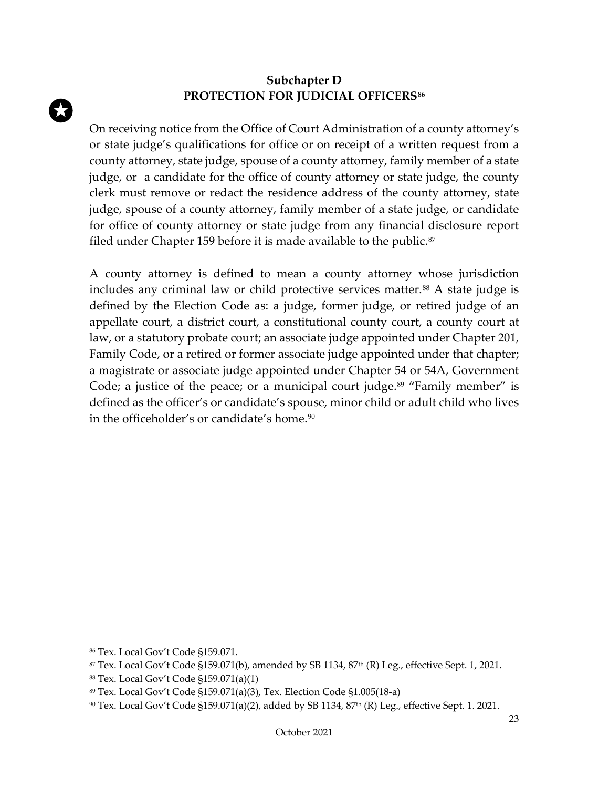## <span id="page-25-0"></span>**Subchapter D PROTECTION FOR JUDICIAL OFFICERS[86](#page-25-1)**

On receiving notice from the Office of Court Administration of a county attorney's or state judge's qualifications for office or on receipt of a written request from a county attorney, state judge, spouse of a county attorney, family member of a state judge, or a candidate for the office of county attorney or state judge, the county clerk must remove or redact the residence address of the county attorney, state judge, spouse of a county attorney, family member of a state judge, or candidate for office of county attorney or state judge from any financial disclosure report filed under Chapter 159 before it is made available to the public. $87$ 

A county attorney is defined to mean a county attorney whose jurisdiction includes any criminal law or child protective services matter.<sup>[88](#page-25-3)</sup> A state judge is defined by the Election Code as: a judge, former judge, or retired judge of an appellate court, a district court, a constitutional county court, a county court at law, or a statutory probate court; an associate judge appointed under Chapter 201, Family Code, or a retired or former associate judge appointed under that chapter; a magistrate or associate judge appointed under Chapter 54 or 54A, Government Code; a justice of the peace; or a municipal court judge.<sup>[89](#page-25-4)</sup> "Family member" is defined as the officer's or candidate's spouse, minor child or adult child who lives in the officeholder's or candidate's home.<sup>[90](#page-25-5)</sup>

<span id="page-25-1"></span><sup>86</sup> Tex. Local Gov't Code §159.071.

<span id="page-25-2"></span> $87$  Tex. Local Gov't Code §159.071(b), amended by SB 1134, 87<sup>th</sup> (R) Leg., effective Sept. 1, 2021.

<span id="page-25-3"></span><sup>88</sup> Tex. Local Gov't Code §159.071(a)(1)

<span id="page-25-4"></span><sup>89</sup> Tex. Local Gov't Code §159.071(a)(3), Tex. Election Code §1.005(18-a)

<span id="page-25-5"></span><sup>90</sup> Tex. Local Gov't Code §159.071(a)(2), added by SB 1134, 87<sup>th</sup> (R) Leg., effective Sept. 1. 2021.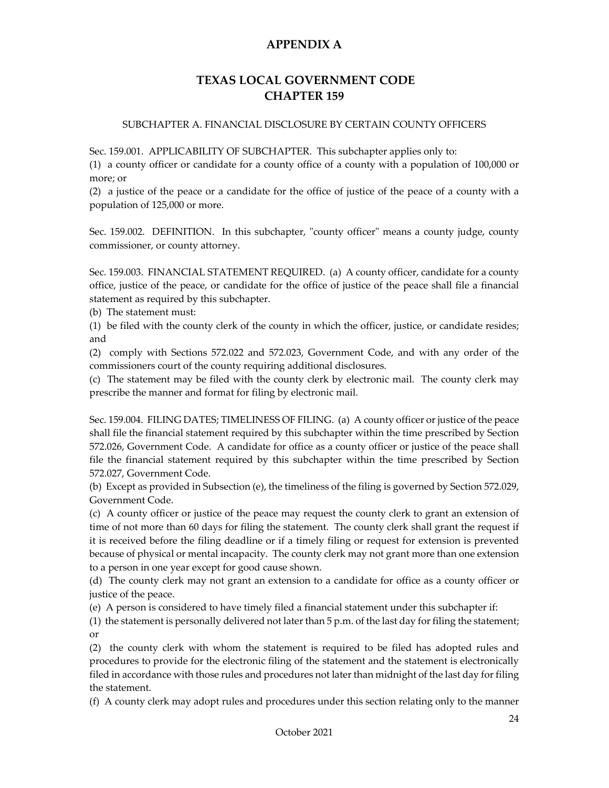#### <span id="page-26-0"></span>**TEXAS LOCAL GOVERNMENT CODE CHAPTER 159**

#### <span id="page-26-1"></span>SUBCHAPTER A. FINANCIAL DISCLOSURE BY CERTAIN COUNTY OFFICERS

Sec. 159.001. APPLICABILITY OF SUBCHAPTER. This subchapter applies only to:

(1) a county officer or candidate for a county office of a county with a population of 100,000 or more; or

(2) a justice of the peace or a candidate for the office of justice of the peace of a county with a population of 125,000 or more.

Sec. 159.002. DEFINITION. In this subchapter, "county officer" means a county judge, county commissioner, or county attorney.

Sec. 159.003. FINANCIAL STATEMENT REQUIRED. (a) A county officer, candidate for a county office, justice of the peace, or candidate for the office of justice of the peace shall file a financial statement as required by this subchapter.

(b) The statement must:

(1) be filed with the county clerk of the county in which the officer, justice, or candidate resides; and

(2) comply with Sections 572.022 and 572.023, Government Code, and with any order of the commissioners court of the county requiring additional disclosures.

(c) The statement may be filed with the county clerk by electronic mail. The county clerk may prescribe the manner and format for filing by electronic mail.

Sec. 159.004. FILING DATES; TIMELINESS OF FILING. (a) A county officer or justice of the peace shall file the financial statement required by this subchapter within the time prescribed by Section 572.026, Government Code. A candidate for office as a county officer or justice of the peace shall file the financial statement required by this subchapter within the time prescribed by Section 572.027, Government Code.

(b) Except as provided in Subsection (e), the timeliness of the filing is governed by Section 572.029, Government Code.

(c) A county officer or justice of the peace may request the county clerk to grant an extension of time of not more than 60 days for filing the statement. The county clerk shall grant the request if it is received before the filing deadline or if a timely filing or request for extension is prevented because of physical or mental incapacity. The county clerk may not grant more than one extension to a person in one year except for good cause shown.

(d) The county clerk may not grant an extension to a candidate for office as a county officer or justice of the peace.

(e) A person is considered to have timely filed a financial statement under this subchapter if:

(1) the statement is personally delivered not later than  $5$  p.m. of the last day for filing the statement; or

(2) the county clerk with whom the statement is required to be filed has adopted rules and procedures to provide for the electronic filing of the statement and the statement is electronically filed in accordance with those rules and procedures not later than midnight of the last day for filing the statement.

(f) A county clerk may adopt rules and procedures under this section relating only to the manner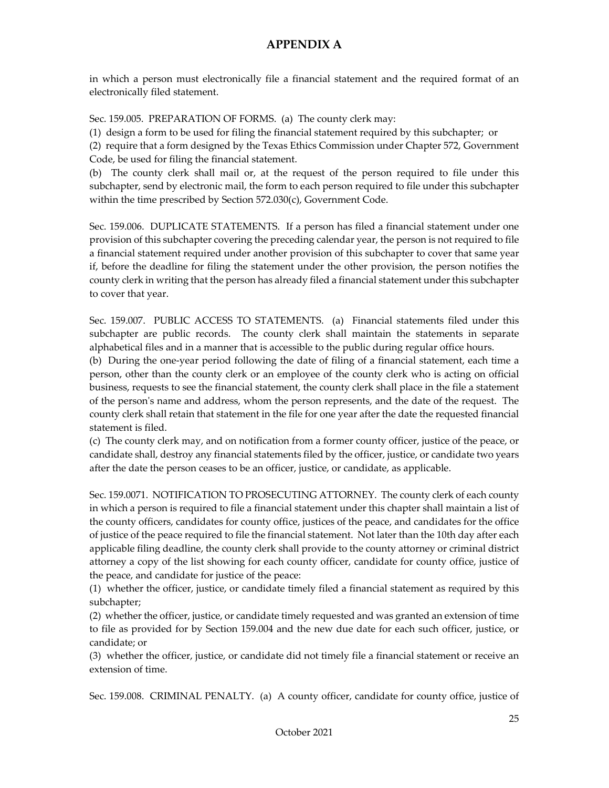in which a person must electronically file a financial statement and the required format of an electronically filed statement.

Sec. 159.005. PREPARATION OF FORMS. (a) The county clerk may:

(1) design a form to be used for filing the financial statement required by this subchapter; or

(2) require that a form designed by the Texas Ethics Commission under Chapter 572, Government Code, be used for filing the financial statement.

(b) The county clerk shall mail or, at the request of the person required to file under this subchapter, send by electronic mail, the form to each person required to file under this subchapter within the time prescribed by Section 572.030(c), Government Code.

Sec. 159.006. DUPLICATE STATEMENTS. If a person has filed a financial statement under one provision of this subchapter covering the preceding calendar year, the person is not required to file a financial statement required under another provision of this subchapter to cover that same year if, before the deadline for filing the statement under the other provision, the person notifies the county clerk in writing that the person has already filed a financial statement under this subchapter to cover that year.

Sec. 159.007. PUBLIC ACCESS TO STATEMENTS. (a) Financial statements filed under this subchapter are public records. The county clerk shall maintain the statements in separate alphabetical files and in a manner that is accessible to the public during regular office hours.

(b) During the one-year period following the date of filing of a financial statement, each time a person, other than the county clerk or an employee of the county clerk who is acting on official business, requests to see the financial statement, the county clerk shall place in the file a statement of the person's name and address, whom the person represents, and the date of the request. The county clerk shall retain that statement in the file for one year after the date the requested financial statement is filed.

(c) The county clerk may, and on notification from a former county officer, justice of the peace, or candidate shall, destroy any financial statements filed by the officer, justice, or candidate two years after the date the person ceases to be an officer, justice, or candidate, as applicable.

Sec. 159.0071. NOTIFICATION TO PROSECUTING ATTORNEY. The county clerk of each county in which a person is required to file a financial statement under this chapter shall maintain a list of the county officers, candidates for county office, justices of the peace, and candidates for the office of justice of the peace required to file the financial statement. Not later than the 10th day after each applicable filing deadline, the county clerk shall provide to the county attorney or criminal district attorney a copy of the list showing for each county officer, candidate for county office, justice of the peace, and candidate for justice of the peace:

(1) whether the officer, justice, or candidate timely filed a financial statement as required by this subchapter;

(2) whether the officer, justice, or candidate timely requested and was granted an extension of time to file as provided for by Section 159.004 and the new due date for each such officer, justice, or candidate; or

(3) whether the officer, justice, or candidate did not timely file a financial statement or receive an extension of time.

Sec. 159.008. CRIMINAL PENALTY. (a) A county officer, candidate for county office, justice of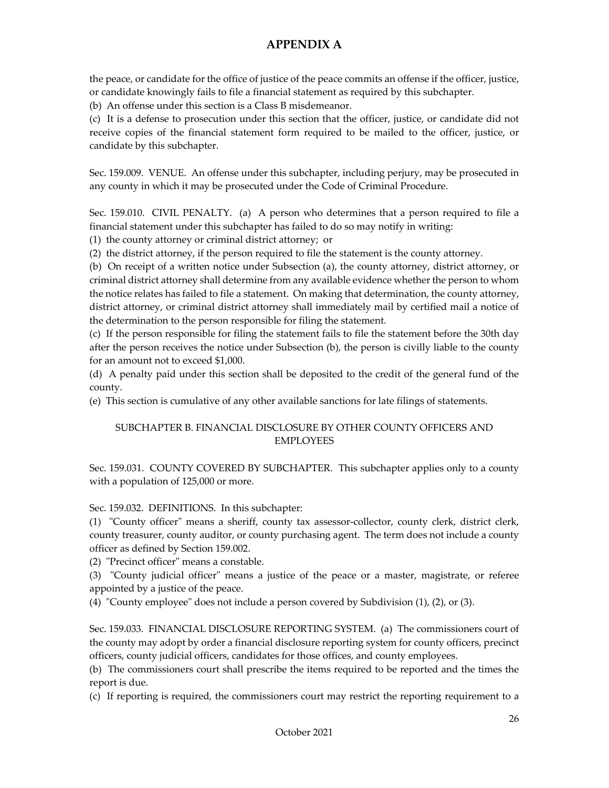the peace, or candidate for the office of justice of the peace commits an offense if the officer, justice, or candidate knowingly fails to file a financial statement as required by this subchapter.

(b) An offense under this section is a Class B misdemeanor.

(c) It is a defense to prosecution under this section that the officer, justice, or candidate did not receive copies of the financial statement form required to be mailed to the officer, justice, or candidate by this subchapter.

Sec. 159.009. VENUE. An offense under this subchapter, including perjury, may be prosecuted in any county in which it may be prosecuted under the Code of Criminal Procedure.

Sec. 159.010. CIVIL PENALTY. (a) A person who determines that a person required to file a financial statement under this subchapter has failed to do so may notify in writing:

(1) the county attorney or criminal district attorney; or

(2) the district attorney, if the person required to file the statement is the county attorney.

(b) On receipt of a written notice under Subsection (a), the county attorney, district attorney, or criminal district attorney shall determine from any available evidence whether the person to whom the notice relates has failed to file a statement. On making that determination, the county attorney, district attorney, or criminal district attorney shall immediately mail by certified mail a notice of the determination to the person responsible for filing the statement.

(c) If the person responsible for filing the statement fails to file the statement before the 30th day after the person receives the notice under Subsection (b), the person is civilly liable to the county for an amount not to exceed \$1,000.

(d) A penalty paid under this section shall be deposited to the credit of the general fund of the county.

(e) This section is cumulative of any other available sanctions for late filings of statements.

#### SUBCHAPTER B. FINANCIAL DISCLOSURE BY OTHER COUNTY OFFICERS AND EMPLOYEES

Sec. 159.031. COUNTY COVERED BY SUBCHAPTER. This subchapter applies only to a county with a population of 125,000 or more.

Sec. 159.032. DEFINITIONS. In this subchapter:

(1) "County officer" means a sheriff, county tax assessor-collector, county clerk, district clerk, county treasurer, county auditor, or county purchasing agent. The term does not include a county officer as defined by Section 159.002.

(2) "Precinct officer" means a constable.

(3) "County judicial officer" means a justice of the peace or a master, magistrate, or referee appointed by a justice of the peace.

(4) "County employee" does not include a person covered by Subdivision (1), (2), or (3).

Sec. 159.033. FINANCIAL DISCLOSURE REPORTING SYSTEM. (a) The commissioners court of the county may adopt by order a financial disclosure reporting system for county officers, precinct officers, county judicial officers, candidates for those offices, and county employees.

(b) The commissioners court shall prescribe the items required to be reported and the times the report is due.

(c) If reporting is required, the commissioners court may restrict the reporting requirement to a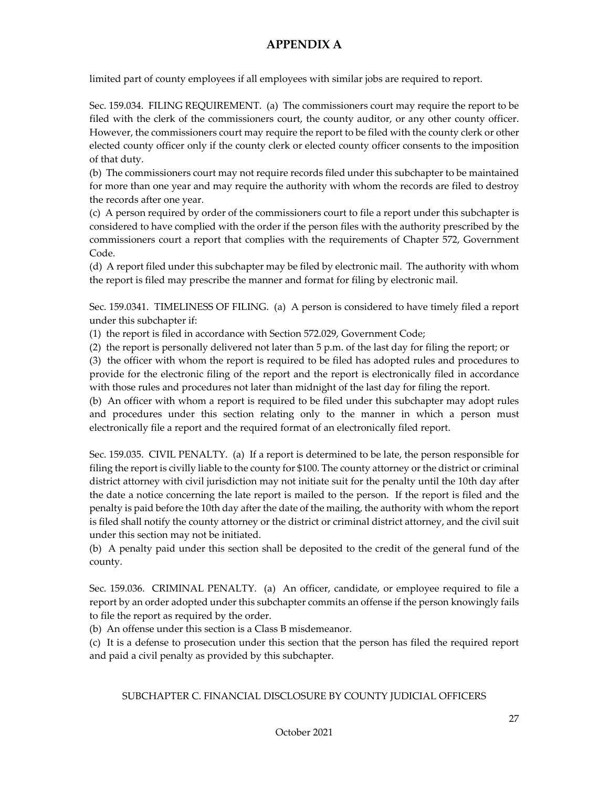limited part of county employees if all employees with similar jobs are required to report.

Sec. 159.034. FILING REQUIREMENT. (a) The commissioners court may require the report to be filed with the clerk of the commissioners court, the county auditor, or any other county officer. However, the commissioners court may require the report to be filed with the county clerk or other elected county officer only if the county clerk or elected county officer consents to the imposition of that duty.

(b) The commissioners court may not require records filed under this subchapter to be maintained for more than one year and may require the authority with whom the records are filed to destroy the records after one year.

(c) A person required by order of the commissioners court to file a report under this subchapter is considered to have complied with the order if the person files with the authority prescribed by the commissioners court a report that complies with the requirements of Chapter 572, Government Code.

(d) A report filed under this subchapter may be filed by electronic mail. The authority with whom the report is filed may prescribe the manner and format for filing by electronic mail.

Sec. 159.0341. TIMELINESS OF FILING. (a) A person is considered to have timely filed a report under this subchapter if:

(1) the report is filed in accordance with Section 572.029, Government Code;

(2) the report is personally delivered not later than 5 p.m. of the last day for filing the report; or

(3) the officer with whom the report is required to be filed has adopted rules and procedures to provide for the electronic filing of the report and the report is electronically filed in accordance with those rules and procedures not later than midnight of the last day for filing the report.

(b) An officer with whom a report is required to be filed under this subchapter may adopt rules and procedures under this section relating only to the manner in which a person must electronically file a report and the required format of an electronically filed report.

Sec. 159.035. CIVIL PENALTY. (a) If a report is determined to be late, the person responsible for filing the report is civilly liable to the county for \$100. The county attorney or the district or criminal district attorney with civil jurisdiction may not initiate suit for the penalty until the 10th day after the date a notice concerning the late report is mailed to the person. If the report is filed and the penalty is paid before the 10th day after the date of the mailing, the authority with whom the report is filed shall notify the county attorney or the district or criminal district attorney, and the civil suit under this section may not be initiated.

(b) A penalty paid under this section shall be deposited to the credit of the general fund of the county.

Sec. 159.036. CRIMINAL PENALTY. (a) An officer, candidate, or employee required to file a report by an order adopted under this subchapter commits an offense if the person knowingly fails to file the report as required by the order.

(b) An offense under this section is a Class B misdemeanor.

(c) It is a defense to prosecution under this section that the person has filed the required report and paid a civil penalty as provided by this subchapter.

#### SUBCHAPTER C. FINANCIAL DISCLOSURE BY COUNTY JUDICIAL OFFICERS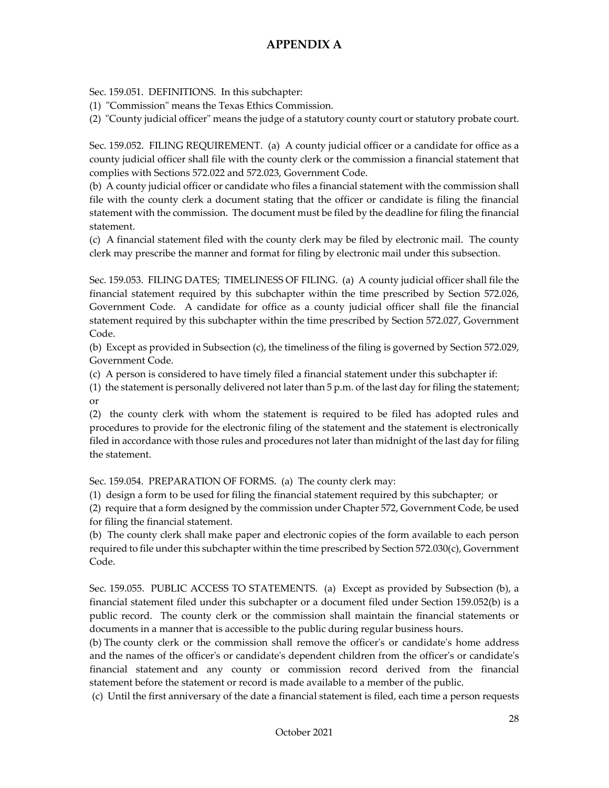Sec. 159.051. DEFINITIONS. In this subchapter:

(1) "Commission" means the Texas Ethics Commission.

(2) "County judicial officer" means the judge of a statutory county court or statutory probate court.

Sec. 159.052. FILING REQUIREMENT. (a) A county judicial officer or a candidate for office as a county judicial officer shall file with the county clerk or the commission a financial statement that complies with Sections 572.022 and 572.023, Government Code.

(b) A county judicial officer or candidate who files a financial statement with the commission shall file with the county clerk a document stating that the officer or candidate is filing the financial statement with the commission. The document must be filed by the deadline for filing the financial statement.

(c) A financial statement filed with the county clerk may be filed by electronic mail. The county clerk may prescribe the manner and format for filing by electronic mail under this subsection.

Sec. 159.053. FILING DATES; TIMELINESS OF FILING. (a) A county judicial officer shall file the financial statement required by this subchapter within the time prescribed by Section 572.026, Government Code. A candidate for office as a county judicial officer shall file the financial statement required by this subchapter within the time prescribed by Section 572.027, Government Code.

(b) Except as provided in Subsection (c), the timeliness of the filing is governed by Section 572.029, Government Code.

(c) A person is considered to have timely filed a financial statement under this subchapter if:

(1) the statement is personally delivered not later than  $5$  p.m. of the last day for filing the statement; or

(2) the county clerk with whom the statement is required to be filed has adopted rules and procedures to provide for the electronic filing of the statement and the statement is electronically filed in accordance with those rules and procedures not later than midnight of the last day for filing the statement.

Sec. 159.054. PREPARATION OF FORMS. (a) The county clerk may:

(1) design a form to be used for filing the financial statement required by this subchapter; or

(2) require that a form designed by the commission under Chapter 572, Government Code, be used for filing the financial statement.

(b) The county clerk shall make paper and electronic copies of the form available to each person required to file under this subchapter within the time prescribed by Section 572.030(c), Government Code.

Sec. 159.055. PUBLIC ACCESS TO STATEMENTS. (a) Except as provided by Subsection (b), a financial statement filed under this subchapter or a document filed under Section 159.052(b) is a public record. The county clerk or the commission shall maintain the financial statements or documents in a manner that is accessible to the public during regular business hours.

(b) The county clerk or the commission shall remove the officer's or candidate's home address and the names of the officer's or candidate's dependent children from the officer's or candidate's financial statement and any county or commission record derived from the financial statement before the statement or record is made available to a member of the public.

(c) Until the first anniversary of the date a financial statement is filed, each time a person requests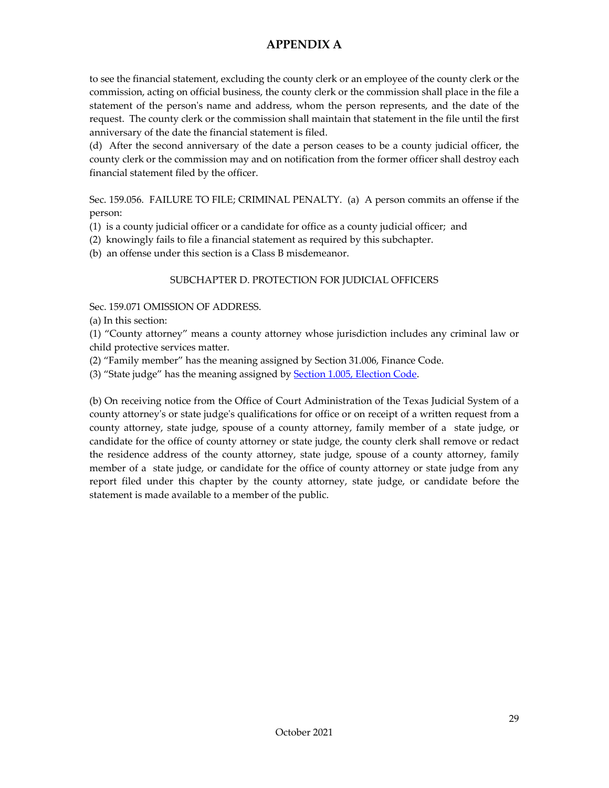to see the financial statement, excluding the county clerk or an employee of the county clerk or the commission, acting on official business, the county clerk or the commission shall place in the file a statement of the person's name and address, whom the person represents, and the date of the request. The county clerk or the commission shall maintain that statement in the file until the first anniversary of the date the financial statement is filed.

(d) After the second anniversary of the date a person ceases to be a county judicial officer, the county clerk or the commission may and on notification from the former officer shall destroy each financial statement filed by the officer.

Sec. 159.056. FAILURE TO FILE; CRIMINAL PENALTY. (a) A person commits an offense if the person:

- (1) is a county judicial officer or a candidate for office as a county judicial officer; and
- (2) knowingly fails to file a financial statement as required by this subchapter.
- (b) an offense under this section is a Class B misdemeanor.

#### SUBCHAPTER D. PROTECTION FOR JUDICIAL OFFICERS

Sec. 159.071 OMISSION OF ADDRESS.

(a) In this section:

(1) "County attorney" means a county attorney whose jurisdiction includes any criminal law or child protective services matter.

(2) "Family member" has the meaning assigned by Section 31.006, Finance Code.

(3) "State judge" has the meaning assigned by **Section 1.005**, Election Code.

(b) On receiving notice from the Office of Court Administration of the Texas Judicial System of a county attorney's or state judge's qualifications for office or on receipt of a written request from a county attorney, state judge, spouse of a county attorney, family member of a state judge, or candidate for the office of county attorney or state judge, the county clerk shall remove or redact the residence address of the county attorney, state judge, spouse of a county attorney, family member of a state judge, or candidate for the office of county attorney or state judge from any report filed under this chapter by the county attorney, state judge, or candidate before the statement is made available to a member of the public.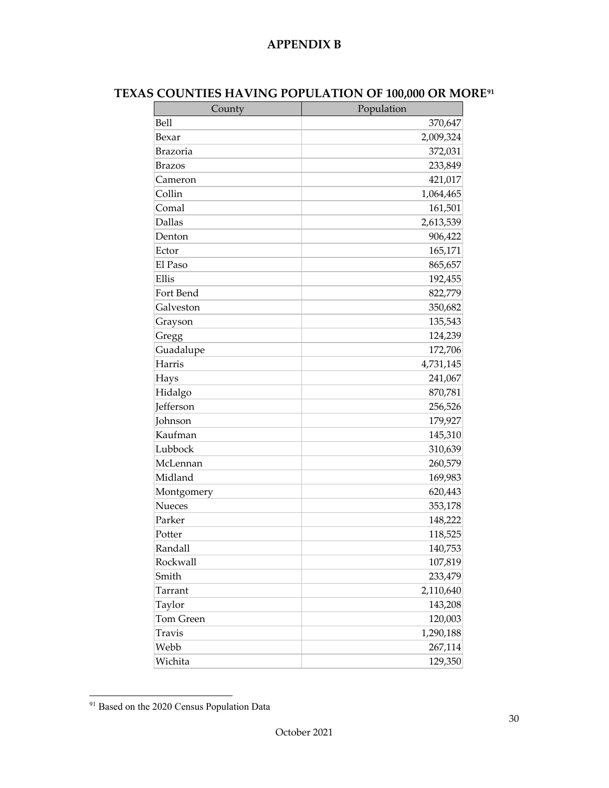#### **APPENDIX B**

<span id="page-32-0"></span>

| County           | Population |
|------------------|------------|
| Bell             | 370,647    |
| Bexar            | 2,009,324  |
| <b>Brazoria</b>  | 372,031    |
| <b>Brazos</b>    | 233,849    |
| Cameron          | 421,017    |
| Collin           | 1,064,465  |
| Comal            | 161,501    |
| Dallas           | 2,613,539  |
| Denton           | 906,422    |
| Ector            | 165,171    |
| El Paso          | 865,657    |
| Ellis            | 192,455    |
| Fort Bend        | 822,779    |
| Galveston        | 350,682    |
| Grayson          | 135,543    |
| Gregg            | 124,239    |
| Guadalupe        | 172,706    |
| Harris           | 4,731,145  |
| Hays             | 241,067    |
| Hidalgo          | 870,781    |
| <b>Jefferson</b> | 256,526    |
| Johnson          | 179,927    |
| Kaufman          | 145,310    |
| Lubbock          | 310,639    |
| McLennan         | 260,579    |
| Midland          | 169,983    |
| Montgomery       | 620,443    |
| <b>Nueces</b>    | 353,178    |
| Parker           | 148,222    |
| Potter           | 118,525    |
| Randall          | 140,753    |
| Rockwall         | 107,819    |
| Smith            | 233,479    |
| Tarrant          | 2,110,640  |
| Taylor           | 143,208    |
| Tom Green        | 120,003    |
| Travis           | 1,290,188  |
| Webb             | 267,114    |
| Wichita          | 129,350    |

<span id="page-32-1"></span><sup>91</sup> Based on the 2020 Census Population Data